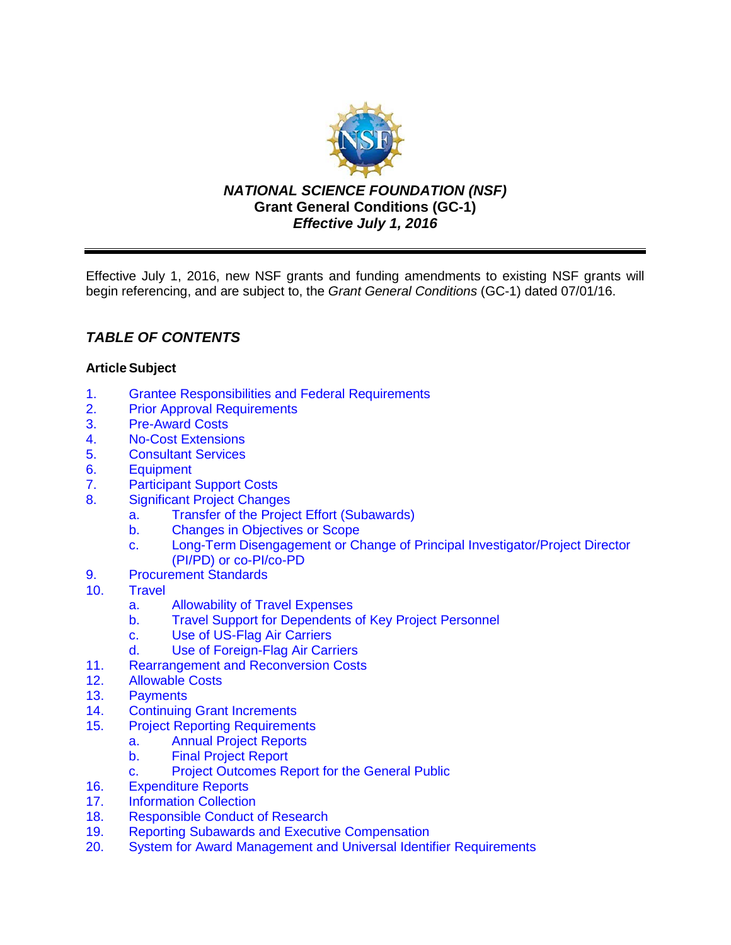

*NATIONAL SCIENCE FOUNDATION (NSF)* **Grant General Conditions (GC-1)** *Effective July 1, 2016*

Effective July 1, 2016, new NSF grants and funding amendments to existing NSF grants will begin referencing, and are subject to, the *Grant General Conditions* (GC-1) dated 07/01/16.

# *TABLE OF CONTENTS*

# **ArticleSubject**

- 1. [Grantee Responsibilities and Federal Requirements](#page-2-0)<br>2. Prior Approval Requirements
- **[Prior Approval Requirements](#page-3-0)**
- 3. [Pre-Award Costs](#page-4-0)
- 4. [No-Cost Extensions](#page-4-0)
- 5. [Consultant Services](#page-4-0)
- 6. [Equipment](#page-5-0)
- 7. [Participant Support Costs](#page-7-0)<br>8. Significant Project Change
- **[Significant Project Changes](#page-7-0)** 
	- a. [Transfer of the Project Effort \(Subawards\)](#page-7-0)
	- b. Changes [in Objectives or Scope](#page-8-0)
	- c. Long-Term Disengagement [or Change of Principal Investigator/Project Director](#page-8-0)  (PI/PD) or co-PI/co-PD
- 9. [Procurement Standards](#page-8-0)
- 10. [Travel](#page-9-0)
	- a. [Allowability of Travel Expenses](#page-9-0)
	- b. [Travel Support for Dependents of Key Project Personnel](#page-9-0)
	- c. [Use of US-Flag Air Carriers](#page-9-0)
	- d. [Use of Foreign-Flag Air Carriers](#page-10-0)
- 11. [Rearrangement and Reconversion Costs](#page-11-0)
- 12. [Allowable Costs](#page-12-0)
- 13. [Payments](#page-12-0)<br>14. Continuing
- **[Continuing Grant Increments](#page-13-0)**
- 15. [Project Reporting Requirements](#page-13-0)
	- a. [Annual Project Reports](#page-13-0)
		- b. [Final Project Report](#page-14-0)
		- c. [Project Outcomes Report for](#page-14-0) the General Public
- 16. [Expenditure Reports](#page-14-0)
- 17. [Information Collection](#page-15-0)
- 18. [Responsible Conduct of Research](#page-15-0)
- 19. [Reporting Subawards and Executive Compensation](#page-15-0)
- 20. System for Award Management [and Universal Identifier Requirements](#page-19-0)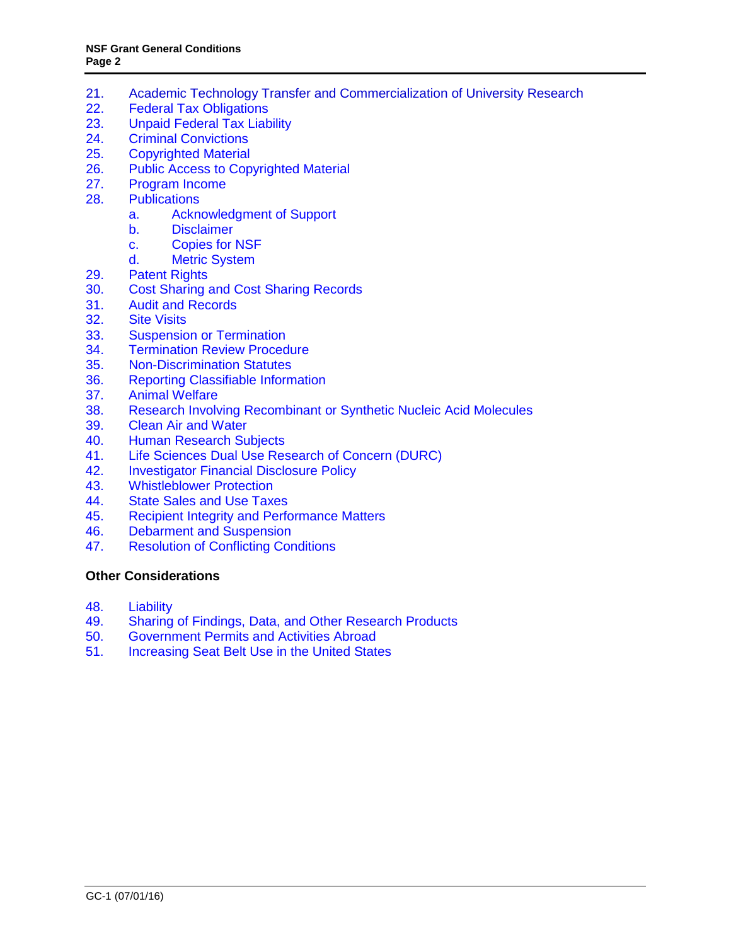- 21. [Academic Technology Transfer and Commercialization of University Research](#page-20-0)<br>22. Federal Tax Obligations
- **[Federal Tax Obligations](#page-21-0)**
- 23. [Unpaid Federal Tax Liability](#page-21-0)
- 24. [Criminal Convictions](#page-21-0)
- 25. [Copyrighted Material](#page-21-0)
- 26. [Public Access to Copyrighted Material](#page-22-0)
- 27. [Program Income](#page-23-0)
- 28. [Publications](#page-24-0)
	- a. [Acknowledgment of Support](#page-24-0)
	- b. [Disclaimer](#page-25-0)<br>c. Copies for
		- [Copies for NSF](#page-25-0)
	- d. [Metric System](#page-25-0)
- 29. [Patent Rights](#page-25-0)
- 30. [Cost Sharing and Cost Sharing Records](#page-31-0)
- 31. [Audit and Records](#page-32-0)
- 32. [Site Visits](#page-32-0)<br>33. Suspensio
- 33. [Suspension or Termination](#page-32-0)<br>34. Termination Review Proced
- **[Termination Review Procedure](#page-34-0)**
- 35. [Non-Discrimination](#page-34-0) Statutes
- 36. [Reporting Classifiable](#page-34-0) Information
- 37. [Animal Welfare](#page-35-0)
- 38. [Research Involving Recombinant or Synthetic Nucleic Acid Molecules](#page-35-0)
- 39. [Clean Air and Water](#page-36-0)<br>40. Human Research Su
- **[Human Research Subjects](#page-36-0)**
- 41. [Life Sciences Dual Use Research of Concern \(DURC\)](#page-36-0)
- 42. [Investigator Financial Disclosure Policy](#page-36-0)
- 43. [Whistleblower Protection](#page-37-0)
- 44. [State Sales and Use Taxes](#page-37-0)
- 45. Recipient Integrity [and Performance Matters](#page-37-0)
- 46. [Debarment and Suspension](#page-37-0)<br>47. Resolution of Conflicting Cor
- 47. [Resolution of Conflicting Conditions](#page-37-0)

#### **[Other Considerations](#page-37-0)**

- 48. [Liability](#page-37-0)
- 49. [Sharing of Findings, Data, and Other Research Products](#page-38-0)
- 50. [Government Permits and Activities Abroad](#page-38-0)<br>51. Increasing Seat Belt Use in the United State
- [Increasing Seat Belt Use in the United States](#page-38-0)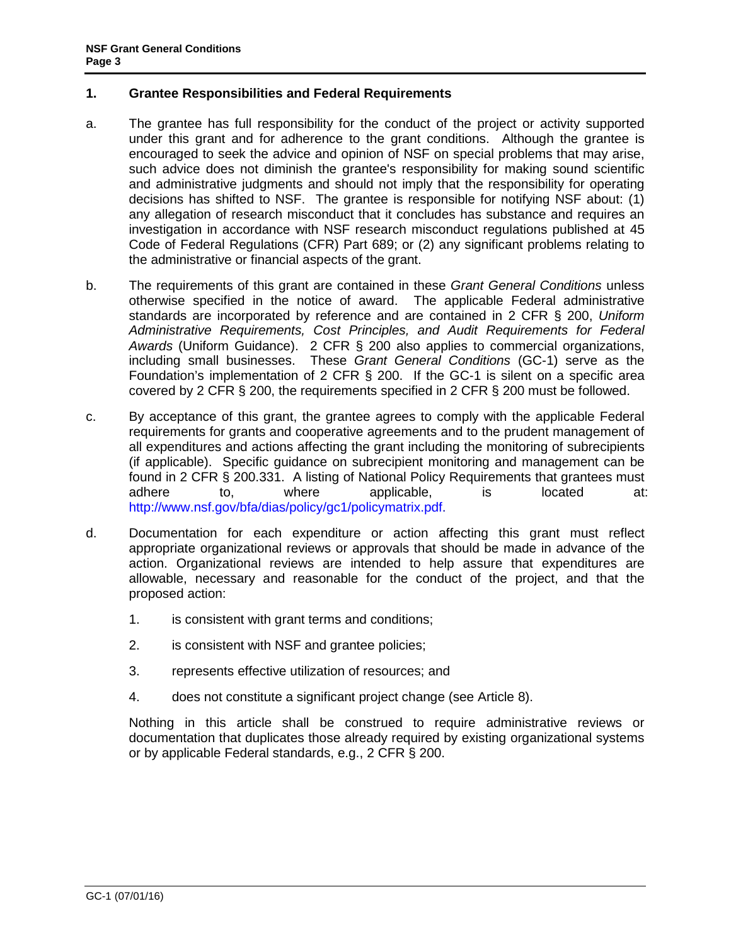# <span id="page-2-0"></span>**1. Grantee Responsibilities and Federal Requirements**

- a. The grantee has full responsibility for the conduct of the project or activity supported under this grant and for adherence to the grant conditions. Although the grantee is encouraged to seek the advice and opinion of NSF on special problems that may arise, such advice does not diminish the grantee's responsibility for making sound scientific and administrative judgments and should not imply that the responsibility for operating decisions has shifted to NSF. The grantee is responsible for notifying NSF about: (1) any allegation of research misconduct that it concludes has substance and requires an investigation in accordance with NSF research misconduct regulations published at [45](http://www.access.gpo.gov/nara/cfr/waisidx_06/45cfr689_06.html) [Code of Federal Regulations \(CFR\) Part 689;](http://www.access.gpo.gov/nara/cfr/waisidx_06/45cfr689_06.html) or (2) any significant problems relating to the administrative or financial aspects of the grant.
- b. The requirements of this grant are contained in these *Grant General Conditions* unless otherwise specified in the notice of award. The applicable Federal administrative standards are incorporated by reference and are contained in [2 CFR § 200,](http://www.ecfr.gov/cgi-bin/text-idx?SID=704835d27377ef5213a51c149de40cab&node=2:1.1.2.2.1&rgn=div5) *Uniform Administrative Requirements, Cost Principles, and Audit Requirements for Federal Awards* (Uniform Guidance). 2 CFR § 200 also applies to commercial organizations, including small businesses. These *Grant General Conditions* (GC-1) serve as the Foundation's implementation of 2 CFR § 200. If the GC-1 is silent on a specific area covered by 2 CFR § 200, the requirements specified in 2 CFR § 200 must be followed.
- c. By acceptance of this grant, the grantee agrees to comply with the applicable Federal requirements for grants and cooperative agreements and to the prudent management of all expenditures and actions affecting the grant including the monitoring of subrecipients (if applicable). Specific guidance on subrecipient monitoring and management can be found in 2 CFR § 200.331. A listing of National Policy Requirements that grantees must adhere to, where applicable, is located at: [http://www.nsf.gov/bfa/dias/policy/gc1/policymatrix.pdf.](http://www.nsf.gov/bfa/dias/policy/gc1/policymatrix_dec14.pdf)
- d. Documentation for each expenditure or action affecting this grant must reflect appropriate organizational reviews or approvals that should be made in advance of the action. Organizational reviews are intended to help assure that expenditures are allowable, necessary and reasonable for the conduct of the project, and that the proposed action:
	- 1. is consistent with grant terms and conditions;
	- 2. is consistent with NSF and grantee policies;
	- 3. represents effective utilization of resources; and
	- 4. does not constitute a significant project change (see Article 8).

Nothing in this article shall be construed to require administrative reviews or documentation that duplicates those already required by existing organizational systems or by applicable Federal standards, e.g., 2 CFR § 200.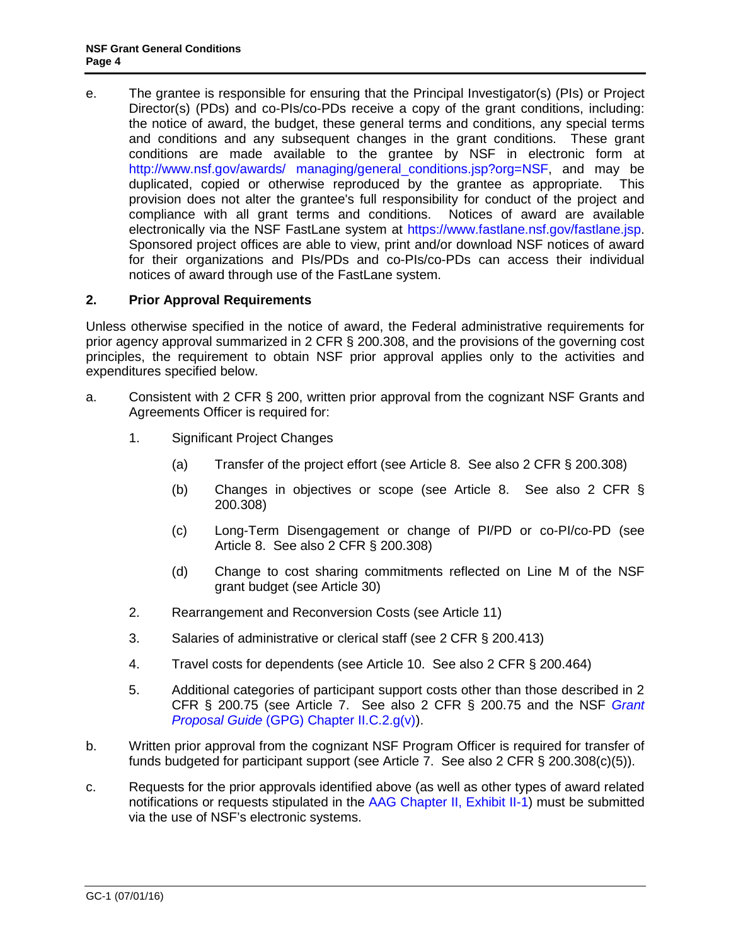<span id="page-3-0"></span>e. The grantee is responsible for ensuring that the Principal Investigator(s) (PIs) or Project Director(s) (PDs) and co-PIs/co-PDs receive a copy of the grant conditions, including: the notice of award, the budget, these general terms and conditions, any special terms and conditions and any subsequent changes in the grant conditions. These grant conditions are made available to the grantee by NSF in electronic form at [http://www.nsf.gov/awards/ managing/general\\_conditions.jsp?org=NSF,](http://www.nsf.gov/awards/managing/general_conditions.jsp?org=NSF) and may be duplicated, copied or otherwise reproduced by the grantee as appropriate. This provision does not alter the grantee's full responsibility for conduct of the project and compliance with all grant terms and conditions. Notices of award are available electronically via the NSF FastLane system at [https://www.fastlane.nsf.gov/fastlane.jsp.](https://www.fastlane.nsf.gov/fastlane.jsp) Sponsored project offices are able to view, print and/or download NSF notices of award for their organizations and PIs/PDs and co-PIs/co-PDs can access their individual notices of award through use of the FastLane system.

# **2. Prior Approval Requirements**

Unless otherwise specified in the notice of award, the Federal administrative requirements for prior agency approval summarized in 2 CFR § 200.308, and the provisions of the governing cost principles, the requirement to obtain NSF prior approval applies only to the activities and expenditures specified below.

- a. Consistent with 2 CFR § 200, written prior approval from the cognizant NSF Grants and Agreements Officer is required for:
	- 1. Significant Project Changes
		- (a) Transfer of the project effort (see Article 8. See also 2 CFR § 200.308)
		- (b) Changes in objectives or scope (see Article 8. See also 2 CFR § 200.308)
		- (c) Long-Term Disengagement or change of PI/PD or co-PI/co-PD (see Article 8. See also 2 CFR § 200.308)
		- (d) Change to cost sharing commitments reflected on Line M of the NSF grant budget (see Article 30)
	- 2. Rearrangement and Reconversion Costs (see Article 11)
	- 3. Salaries of administrative or clerical staff (see 2 CFR § 200.413)
	- 4. Travel costs for dependents (see Article 10. See also 2 CFR § 200.464)
	- 5. Additional categories of participant support costs other than those described in 2 CFR § 200.75 (see Article 7. See also 2 CFR § 200.75 and the NSF *[Grant](http://www.nsf.gov/pubs/policydocs/pappguide/nsf16001/gpg_2.jsp#IIC2gv)  Proposal Guide* [\(GPG\) Chapter II.C.2.g\(v\)\)](http://www.nsf.gov/pubs/policydocs/pappguide/nsf16001/gpg_2.jsp#IIC2gv).
- b. Written prior approval from the cognizant NSF Program Officer is required for transfer of funds budgeted for participant support (see Article 7. See also 2 CFR § 200.308(c)(5)).
- c. Requests for the prior approvals identified above (as well as other types of award related notifications or requests stipulated in the [AAG Chapter II, Exhibit II-1\)](http://www.nsf.gov/pubs/policydocs/pappguide/nsf16001/aag_2ex1.pdf) must be submitted via the use of NSF's electronic systems.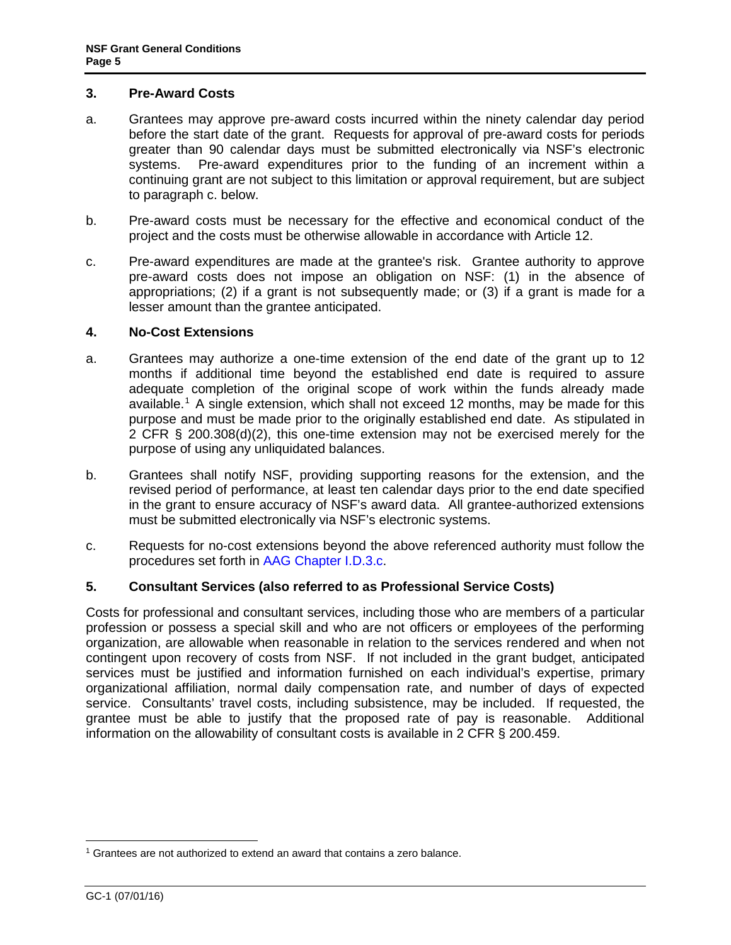#### <span id="page-4-0"></span>**3. Pre-Award Costs**

- a. Grantees may approve pre-award costs incurred within the ninety calendar day period before the start date of the grant. Requests for approval of pre-award costs for periods greater than 90 calendar days must be submitted electronically via NSF's electronic systems. Pre-award expenditures prior to the funding of an increment within a continuing grant are not subject to this limitation or approval requirement, but are subject to paragraph c. below.
- b. Pre-award costs must be necessary for the effective and economical conduct of the project and the costs must be otherwise allowable in accordance with [Article 12.](#page-12-1)
- c. Pre-award expenditures are made at the grantee's risk. Grantee authority to approve pre-award costs does not impose an obligation on NSF: (1) in the absence of appropriations; (2) if a grant is not subsequently made; or (3) if a grant is made for a lesser amount than the grantee anticipated.

#### **4. No-Cost Extensions**

- a. Grantees may authorize a one-time extension of the end date of the grant up to 12 months if additional time beyond the established end date is required to assure adequate completion of the original scope of work within the funds already made available.<sup>[1](#page-4-1)</sup> A single extension, which shall not exceed 12 months, may be made for this purpose and must be made prior to the originally established end date. As stipulated in 2 CFR § 200.308(d)(2), this one-time extension may not be exercised merely for the purpose of using any unliquidated balances.
- b. Grantees shall notify NSF, providing supporting reasons for the extension, and the revised period of performance, at least ten calendar days prior to the end date specified in the grant to ensure accuracy of NSF's award data. All grantee-authorized extensions must be submitted electronically via NSF's electronic systems.
- c. Requests for no-cost extensions beyond the above referenced authority must follow the procedures set forth in [AAG Chapter I.D.3.c.](http://www.nsf.gov/pubs/policydocs/pappguide/nsf16001/aag_1.jsp#ID3c)

# **5. Consultant Services (also referred to as Professional Service Costs)**

Costs for professional and consultant services, including those who are members of a particular profession or possess a special skill and who are not officers or employees of the performing organization, are allowable when reasonable in relation to the services rendered and when not contingent upon recovery of costs from NSF. If not included in the grant budget, anticipated services must be justified and information furnished on each individual's expertise, primary organizational affiliation, normal daily compensation rate, and number of days of expected service. Consultants' travel costs, including subsistence, may be included. If requested, the grantee must be able to justify that the proposed rate of pay is reasonable. Additional information on the allowability of consultant costs is available in 2 CFR § 200.459.

<span id="page-4-1"></span> $1$  Grantees are not authorized to extend an award that contains a zero balance.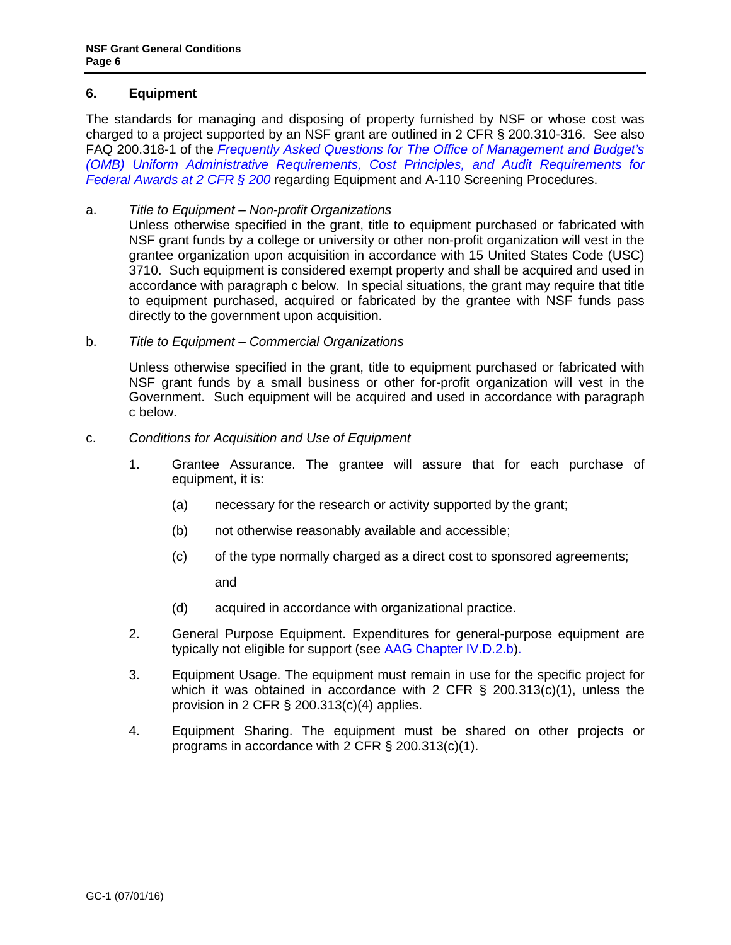# <span id="page-5-0"></span>**6. Equipment**

The standards for managing and disposing of property furnished by NSF or whose cost was charged to a project supported by an NSF grant are outlined in 2 CFR § 200.310-316. See also FAQ 200.318-1 of the *[Frequently Asked Questions for The Office of Management and Budget's](https://cfo.gov/wp-content/uploads/2015/09/9.9.15-Frequently-Asked-Questions.pdf) (OMB) [Uniform Administrative Requirements, Cost Principles, and Audit Requirements for](https://cfo.gov/wp-content/uploads/2015/09/9.9.15-Frequently-Asked-Questions.pdf)  [Federal Awards at 2 CFR § 200](https://cfo.gov/wp-content/uploads/2015/09/9.9.15-Frequently-Asked-Questions.pdf)* regarding Equipment and A-110 Screening Procedures.

# a. *Title to Equipment – Non-profit Organizations*

Unless otherwise specified in the grant, title to equipment purchased or fabricated with NSF grant funds by a college or university or other non-profit organization will vest in the grantee organization upon acquisition in accordance with 15 United States Code (USC) 3710. Such equipment is considered exempt property and shall be acquired and used in accordance with paragraph c below. In special situations, the grant may require that title to equipment purchased, acquired or fabricated by the grantee with NSF funds pass directly to the government upon acquisition.

b. *Title to Equipment – Commercial Organizations*

Unless otherwise specified in the grant, title to equipment purchased or fabricated with NSF grant funds by a small business or other for-profit organization will vest in the Government. Such equipment will be acquired and used in accordance with paragraph c below.

#### c. *Conditions for Acquisition and Use of Equipment*

- 1. Grantee Assurance. The grantee will assure that for each purchase of equipment, it is:
	- (a) necessary for the research or activity supported by the grant;
	- (b) not otherwise reasonably available and accessible;
	- (c) of the type normally charged as a direct cost to sponsored agreements;

and

- (d) acquired in accordance with organizational practice.
- 2. General Purpose Equipment. Expenditures for general-purpose equipment are typically not eligible for support (see [AAG Chapter IV.D.2.b\)](http://www.nsf.gov/pubs/policydocs/pappguide/nsf16001/aag_4.jsp#IVD2).
- 3. Equipment Usage. The equipment must remain in use for the specific project for which it was obtained in accordance with [2 CFR § 200.313\(c\)\(1\),](http://a257.g.akamaitech.net/7/257/2422/15mar20071500/edocket.access.gpo.gov/cfr_2007/janqtr/pdf/2cfr215.34.pdf) unless the provision in [2 CFR § 200.313\(c\)\(4\)](http://a257.g.akamaitech.net/7/257/2422/15mar20071500/edocket.access.gpo.gov/cfr_2007/janqtr/pdf/2cfr215.34.pdf) applies.
- 4. Equipment Sharing. The equipment must be shared on other projects or programs in accordance with [2 CFR § 200.313\(c\)\(1\).](http://a257.g.akamaitech.net/7/257/2422/15mar20071500/edocket.access.gpo.gov/cfr_2007/janqtr/pdf/2cfr215.34.pdf)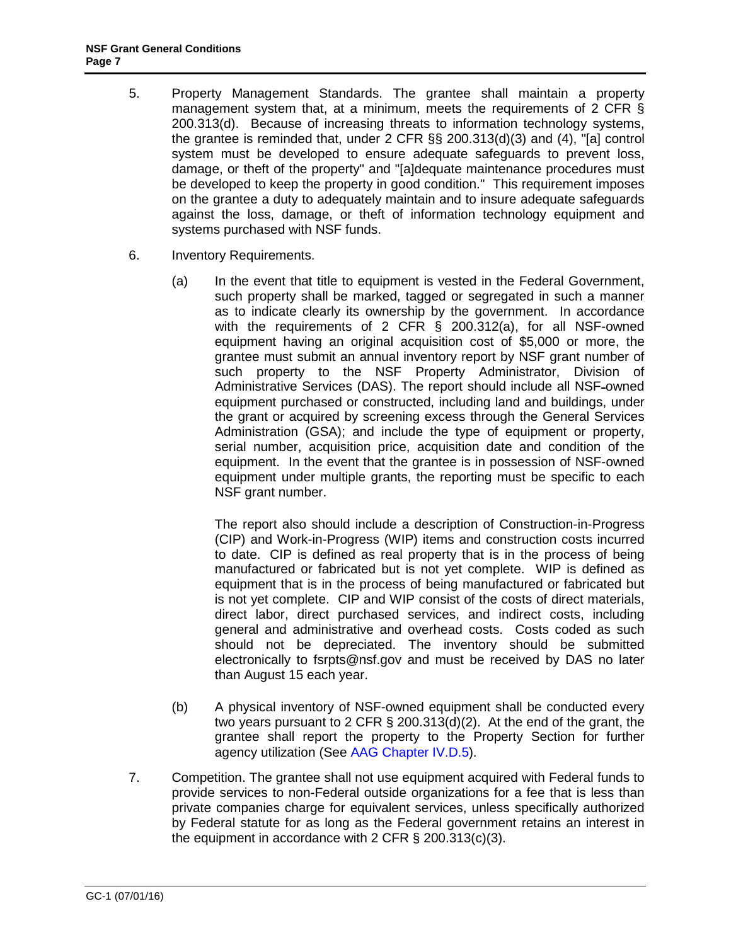- 5. Property Management Standards. The grantee shall maintain a property management system that, at a minimum, meets the requirements of [2 CFR §](http://a257.g.akamaitech.net/7/257/2422/15mar20071500/edocket.access.gpo.gov/cfr_2007/janqtr/pdf/2cfr215.34.pdf)  [200.313\(d\).](http://a257.g.akamaitech.net/7/257/2422/15mar20071500/edocket.access.gpo.gov/cfr_2007/janqtr/pdf/2cfr215.34.pdf) Because of increasing threats to information technology systems, the grantee is reminded that, under [2 CFR §§ 200.313\(d\)\(3\) and \(4\)](http://a257.g.akamaitech.net/7/257/2422/15mar20071500/edocket.access.gpo.gov/cfr_2007/janqtr/pdf/2cfr215.34.pdf), "[a] control system must be developed to ensure adequate safeguards to prevent loss, damage, or theft of the property" and "[a]dequate maintenance procedures must be developed to keep the property in good condition." This requirement imposes on the grantee a duty to adequately maintain and to insure adequate safeguards against the loss, damage, or theft of information technology equipment and systems purchased with NSF funds.
- 6. Inventory Requirements.
	- (a) In the event that title to equipment is vested in the Federal Government, such property shall be marked, tagged or segregated in such a manner as to indicate clearly its ownership by the government. In accordance with the requirements of 2 CFR § 200.312(a), for all NSF-owned equipment having an original acquisition cost of \$5,000 or more, the grantee must submit an annual inventory report by NSF grant number of such property to the NSF Property Administrator, Division of Administrative Services (DAS). The report should include all NSF-owned equipment purchased or constructed, including land and buildings, under the grant or acquired by screening excess through the General Services Administration (GSA); and include the type of equipment or property, serial number, acquisition price, acquisition date and condition of the equipment. In the event that the grantee is in possession of NSF-owned equipment under multiple grants, the reporting must be specific to each NSF grant number.

The report also should include a description of Construction-in-Progress (CIP) and Work-in-Progress (WIP) items and construction costs incurred to date. CIP is defined as real property that is in the process of being manufactured or fabricated but is not yet complete. WIP is defined as equipment that is in the process of being manufactured or fabricated but is not yet complete. CIP and WIP consist of the costs of direct materials, direct labor, direct purchased services, and indirect costs, including general and administrative and overhead costs. Costs coded as such should not be depreciated. The inventory should be submitted electronically to [fsrpts@nsf.gov](mailto:fsrpts@nsf.gov) and must be received by DAS no later than August 15 each year.

- (b) A physical inventory of NSF-owned equipment shall be conducted every two years pursuant to [2 CFR § 200.313\(d\)\(2\).](http://a257.g.akamaitech.net/7/257/2422/15mar20071500/edocket.access.gpo.gov/cfr_2007/janqtr/pdf/2cfr215.34.pdf) At the end of the grant, the grantee shall report the property to the Property Section for further agency utilization (See [AAG Chapter IV.D.5\)](http://www.nsf.gov/pubs/policydocs/pappguide/nsf16001/aag_4.jsp#IVD5).
- 7. Competition. The grantee shall not use equipment acquired with Federal funds to provide services to non-Federal outside organizations for a fee that is less than private companies charge for equivalent services, unless specifically authorized by Federal statute for as long as the Federal government retains an interest in the equipment in accordance with [2 CFR § 200.313\(c\)\(3\).](http://a257.g.akamaitech.net/7/257/2422/15mar20071500/edocket.access.gpo.gov/cfr_2007/janqtr/pdf/2cfr215.34.pdf)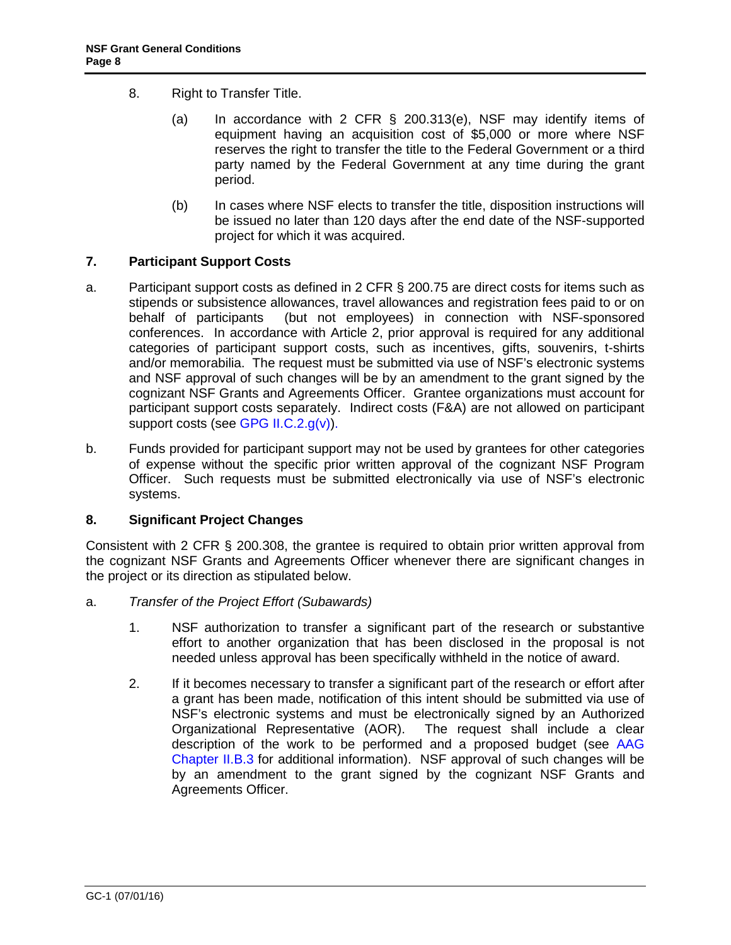- <span id="page-7-0"></span>8. Right to Transfer Title.
	- (a) In accordance with 2 CFR § 200.313(e), NSF may identify items of equipment having an acquisition cost of \$5,000 or more where NSF reserves the right to transfer the title to the Federal Government or a third party named by the Federal Government at any time during the grant period.
	- (b) In cases where NSF elects to transfer the title, disposition instructions will be issued no later than 120 days after the end date of the NSF-supported project for which it was acquired.

# **7. Participant Support Costs**

- a. Participant support costs as defined in 2 CFR § 200.75 are direct costs for items such as stipends or subsistence allowances, travel allowances and registration fees paid to or on behalf of participants (but not employees) in connection with NSF-sponsored conferences. In accordance with Article 2, prior approval is required for any additional categories of participant support costs, such as incentives, gifts, souvenirs, t-shirts and/or memorabilia. The request must be submitted via use of NSF's electronic systems and NSF approval of such changes will be by an amendment to the grant signed by the cognizant NSF Grants and Agreements Officer. Grantee organizations must account for participant support costs separately. Indirect costs (F&A) are not allowed on participant support costs (see [GPG II.C.2.g\(v\)\).](http://www.nsf.gov/pubs/policydocs/pappguide/nsf16001/gpg_2.jsp#IIC2gv)
- b. Funds provided for participant support may not be used by grantees for other categories of expense without the specific prior written approval of the cognizant NSF Program Officer. Such requests must be submitted electronically via use of NSF's electronic systems.

# **8. Significant Project Changes**

Consistent with 2 CFR § 200.308, the grantee is required to obtain prior written approval from the cognizant NSF Grants and Agreements Officer whenever there are significant changes in the project or its direction as stipulated below.

- a. *Transfer of the Project Effort (Subawards)*
	- 1. NSF authorization to transfer a significant part of the research or substantive effort to another organization that has been disclosed in the proposal is not needed unless approval has been specifically withheld in the notice of award.
	- 2. If it becomes necessary to transfer a significant part of the research or effort after a grant has been made, notification of this intent should be submitted via use of NSF's electronic systems and must be electronically signed by an Authorized Organizational Representative (AOR). The request shall include a clear description of the work to be performed and a proposed budget (see [AAG](http://www.nsf.gov/pubs/policydocs/pappguide/nsf16001/aag_2.jsp#IIB3)  [Chapter II.B.3](http://www.nsf.gov/pubs/policydocs/pappguide/nsf16001/aag_2.jsp#IIB3) for additional information). NSF approval of such changes will be by an amendment to the grant signed by the cognizant NSF Grants and Agreements Officer.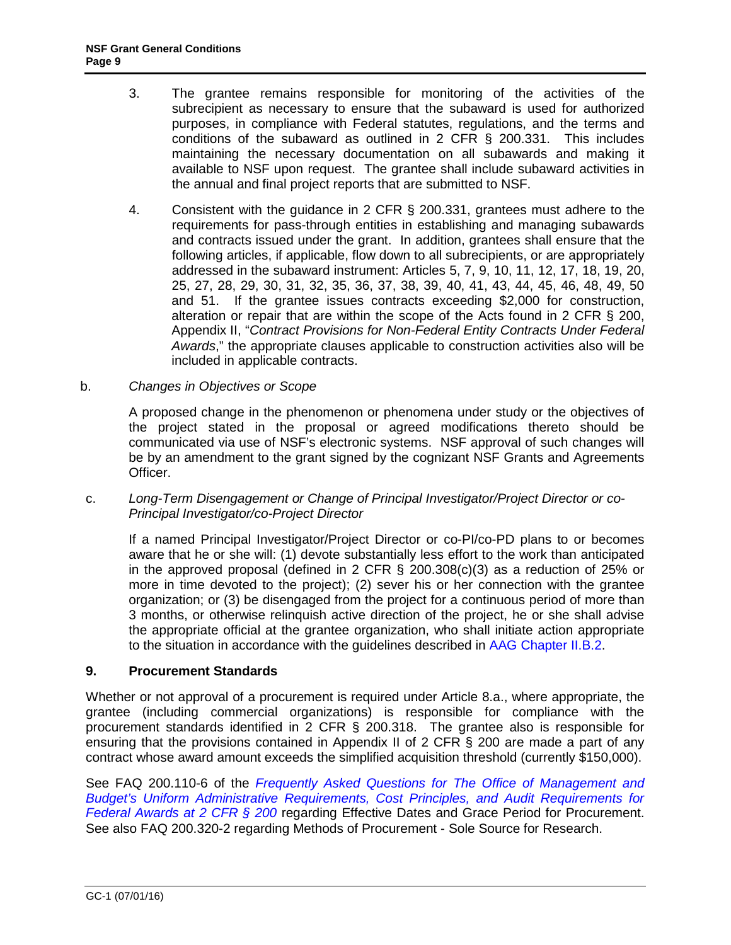- <span id="page-8-0"></span>3. The grantee remains responsible for monitoring of the activities of the subrecipient as necessary to ensure that the subaward is used for authorized purposes, in compliance with Federal statutes, regulations, and the terms and conditions of the subaward as outlined in 2 CFR § 200.331. This includes maintaining the necessary documentation on all subawards and making it available to NSF upon request. The grantee shall include subaward activities in the annual and final project reports that are submitted to NSF.
- 4. Consistent with the guidance in 2 CFR § 200.331, grantees must adhere to the requirements for pass-through entities in establishing and managing subawards and contracts issued under the grant. In addition, grantees shall ensure that the following articles, if applicable, flow down to all subrecipients, or are appropriately addressed in the subaward instrument: Articles 5, 7, 9, 10, 11, 12, 17, 18, 19, 20, 25, 27, 28, 29, 30, 31, 32, 35, 36, 37, 38, 39, 40, 41, 43, 44, 45, 46, 48, 49, 50 and 51. If the grantee issues contracts exceeding \$2,000 for construction, alteration or repair that are within the scope of the Acts found in 2 [CFR § 200,](http://www.access.gpo.gov/nara/cfr/waisidx_07/2cfr215_07.html)  Appendix II, "*[Contract Provisions](http://www.access.gpo.gov/nara/cfr/waisidx_07/2cfr215_07.html) for Non-Federal Entity Contracts Under Federal Awards*," the appropriate clauses applicable to construction activities also will be included in applicable contracts.
- b. *Changes in Objectives or Scope*

A proposed change in the phenomenon or phenomena under study or the objectives of the project stated in the proposal or agreed modifications thereto should be communicated via use of NSF's electronic systems. NSF approval of such changes will be by an amendment to the grant signed by the cognizant NSF Grants and Agreements Officer.

c. *Long-Term Disengagement or Change of Principal Investigator/Project Director or co-Principal Investigator/co-Project Director*

If a named Principal Investigator/Project Director or co-PI/co-PD plans to or becomes aware that he or she will: (1) devote substantially less effort to the work than anticipated in the approved proposal (defined in 2 CFR § 200.308(c)(3) as a reduction of 25% or more in time devoted to the project); (2) sever his or her connection with the grantee organization; or (3) be disengaged from the project for a continuous period of more than 3 months, or otherwise relinquish active direction of the project, he or she shall advise the appropriate official at the grantee organization, who shall initiate action appropriate to the situation in accordance with the guidelines described in [AAG Chapter II.B.2.](http://www.nsf.gov/pubs/policydocs/pappguide/nsf16001/aag_2.jsp#IIB2)

#### **9. Procurement Standards**

Whether or not approval of a procurement is required under Article 8.a., where appropriate, the grantee (including commercial organizations) is responsible for compliance with the procurement standards identified in [2 CFR § 200.318](http://www.access.gpo.gov/nara/cfr/waisidx_07/2cfr215_07.html). The grantee also is responsible for ensuring that the provisions contained in Appendix II of 2 CFR § 200 are made a part of any contract whose award amount exceeds the simplified acquisition threshold (currently \$150,000).

See FAQ 200.110-6 of the *[Frequently Asked Questions for The Office of Management and](https://cfo.gov/wp-content/uploads/2015/09/9.9.15-Frequently-Asked-Questions.pdf)  [Budget's Uniform Administrative Requirements, Cost Principles, and Audit Requirements for](https://cfo.gov/wp-content/uploads/2015/09/9.9.15-Frequently-Asked-Questions.pdf)  [Federal Awards at 2 CFR § 200](https://cfo.gov/wp-content/uploads/2015/09/9.9.15-Frequently-Asked-Questions.pdf)* regarding Effective Dates and Grace Period for Procurement. See also FAQ 200.320-2 regarding Methods of Procurement - Sole Source for Research.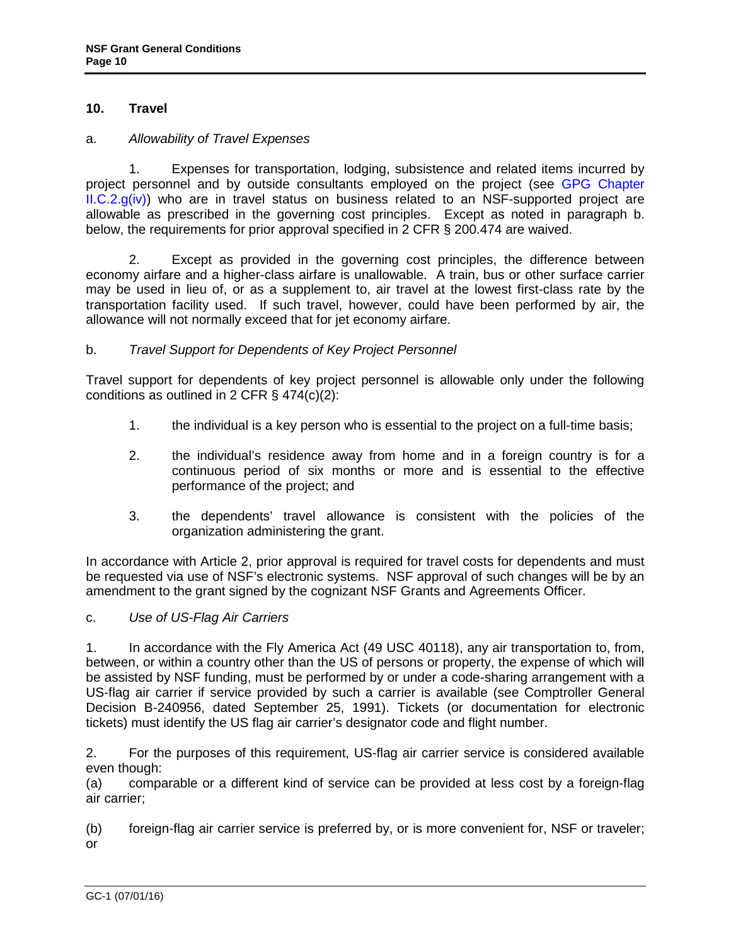# <span id="page-9-0"></span>**10. Travel**

#### a. *Allowability of Travel Expenses*

 1. Expenses for transportation, lodging, subsistence and related items incurred by project personnel and by outside consultants employed on the project (see [GPG Chapter](http://www.nsf.gov/pubs/policydocs/pappguide/nsf16001/gpg_2.jsp#IIC2giv)   $ILC.2.g(iv)$  who are in travel status on business related to an NSF-supported project are allowable as prescribed in the governing cost principles. Except as noted in paragraph b. below, the requirements for prior approval specified in 2 CFR § 200.474 are waived.

 2. Except as provided in the governing cost principles, the difference between economy airfare and a higher-class airfare is unallowable. A train, bus or other surface carrier may be used in lieu of, or as a supplement to, air travel at the lowest first-class rate by the transportation facility used. If such travel, however, could have been performed by air, the allowance will not normally exceed that for jet economy airfare.

# b. *Travel Support for Dependents of Key Project Personnel*

Travel support for dependents of key project personnel is allowable only under the following conditions as outlined in 2 CFR § 474(c)(2):

- 1. the individual is a key person who is essential to the project on a full-time basis;
- 2. the individual's residence away from home and in a foreign country is for a continuous period of six months or more and is essential to the effective performance of the project; and
- 3. the dependents' travel allowance is consistent with the policies of the organization administering the grant.

In accordance with Article 2, prior approval is required for travel costs for dependents and must be requested via use of NSF's electronic systems. NSF approval of such changes will be by an amendment to the grant signed by the cognizant NSF Grants and Agreements Officer.

#### c. *Use of US-Flag Air Carriers*

1. In accordance with the Fly America Act (49 USC 40118), any air transportation to, from, between, or within a country other than the US of persons or property, the expense of which will be assisted by NSF funding, must be performed by or under a code-sharing arrangement with a US-flag air carrier if service provided by such a carrier is available (see Comptroller General Decision B-240956, dated September 25, 1991). Tickets (or documentation for electronic tickets) must identify the US flag air carrier's designator code and flight number.

2. For the purposes of this requirement, US-flag air carrier service is considered available even though:

(a) comparable or a different kind of service can be provided at less cost by a foreign-flag air carrier;

(b) foreign-flag air carrier service is preferred by, or is more convenient for, NSF or traveler; or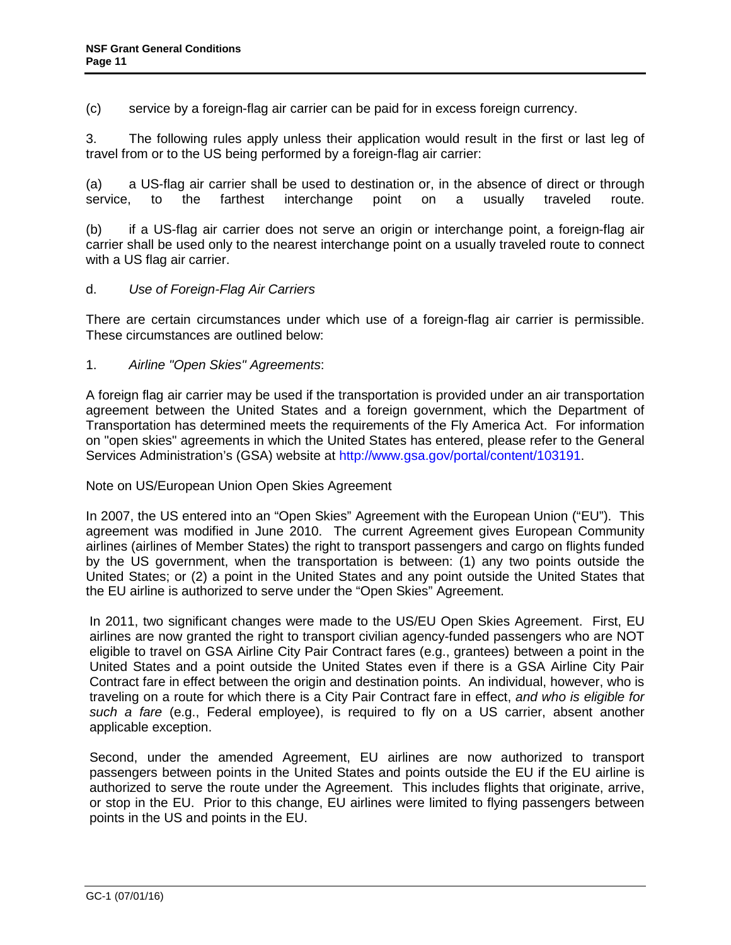<span id="page-10-0"></span>(c) service by a foreign-flag air carrier can be paid for in excess foreign currency.

3. The following rules apply unless their application would result in the first or last leg of travel from or to the US being performed by a foreign-flag air carrier:

(a) a US-flag air carrier shall be used to destination or, in the absence of direct or through service, to the farthest interchange point on a usually traveled route.

(b) if a US-flag air carrier does not serve an origin or interchange point, a foreign-flag air carrier shall be used only to the nearest interchange point on a usually traveled route to connect with a US flag air carrier.

# d. *Use of Foreign-Flag Air Carriers*

There are certain circumstances under which use of a foreign-flag air carrier is permissible. These circumstances are outlined below:

1. *Airline "Open Skies" Agreements*:

A foreign flag air carrier may be used if the transportation is provided under an air transportation agreement between the United States and a foreign government, which the Department of Transportation has determined meets the requirements of the Fly America Act. For information on "open skies" agreements in which the United States has entered, please refer to the General Services Administration's (GSA) website at [http://www.gsa.gov/portal/content/103191.](http://www.gsa.gov/portal/content/103191)

Note on US/European Union Open Skies Agreement

In 2007, the US entered into an "Open Skies" Agreement with the European Union ("EU"). This agreement was modified in June 2010. The current Agreement gives European Community airlines (airlines of Member States) the right to transport passengers and cargo on flights funded by the US government, when the transportation is between: (1) any two points outside the United States; or (2) a point in the United States and any point outside the United States that the EU airline is authorized to serve under the "Open Skies" Agreement.

In 2011, two significant changes were made to the US/EU Open Skies Agreement. First, EU airlines are now granted the right to transport civilian agency-funded passengers who are NOT eligible to travel on GSA Airline City Pair Contract fares (e.g., grantees) between a point in the United States and a point outside the United States even if there is a GSA Airline City Pair Contract fare in effect between the origin and destination points. An individual, however, who is traveling on a route for which there is a City Pair Contract fare in effect, *and who is eligible for such a fare* (e.g., Federal employee), is required to fly on a US carrier, absent another applicable exception.

Second, under the amended Agreement, EU airlines are now authorized to transport passengers between points in the United States and points outside the EU if the EU airline is authorized to serve the route under the Agreement. This includes flights that originate, arrive, or stop in the EU. Prior to this change, EU airlines were limited to flying passengers between points in the US and points in the EU.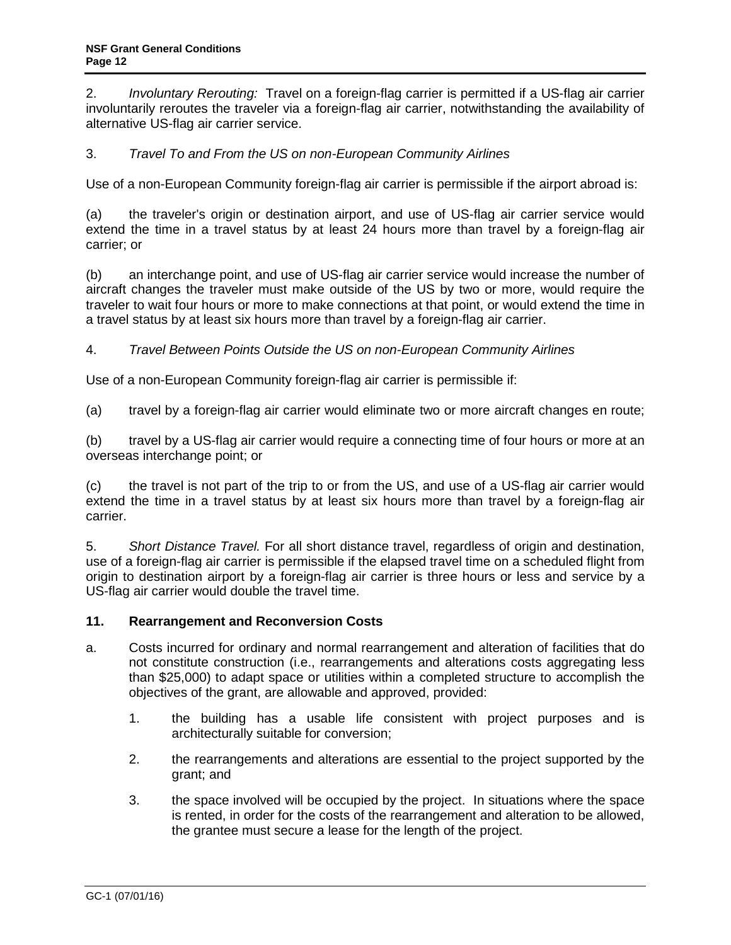<span id="page-11-0"></span>2. *Involuntary Rerouting:* Travel on a foreign-flag carrier is permitted if a US-flag air carrier involuntarily reroutes the traveler via a foreign-flag air carrier, notwithstanding the availability of alternative US-flag air carrier service.

# 3. *Travel To and From the US on non-European Community Airlines*

Use of a non-European Community foreign-flag air carrier is permissible if the airport abroad is:

(a) the traveler's origin or destination airport, and use of US-flag air carrier service would extend the time in a travel status by at least 24 hours more than travel by a foreign-flag air carrier; or

(b) an interchange point, and use of US-flag air carrier service would increase the number of aircraft changes the traveler must make outside of the US by two or more, would require the traveler to wait four hours or more to make connections at that point, or would extend the time in a travel status by at least six hours more than travel by a foreign-flag air carrier.

# 4. *Travel Between Points Outside the US on non-European Community Airlines*

Use of a non-European Community foreign-flag air carrier is permissible if:

(a) travel by a foreign-flag air carrier would eliminate two or more aircraft changes en route;

(b) travel by a US-flag air carrier would require a connecting time of four hours or more at an overseas interchange point; or

(c) the travel is not part of the trip to or from the US, and use of a US-flag air carrier would extend the time in a travel status by at least six hours more than travel by a foreign-flag air carrier.

5. *Short Distance Travel.* For all short distance travel, regardless of origin and destination, use of a foreign-flag air carrier is permissible if the elapsed travel time on a scheduled flight from origin to destination airport by a foreign-flag air carrier is three hours or less and service by a US-flag air carrier would double the travel time.

#### **11. Rearrangement and Reconversion Costs**

- a. Costs incurred for ordinary and normal rearrangement and alteration of facilities that do not constitute construction (i.e., rearrangements and alterations costs aggregating less than \$25,000) to adapt space or utilities within a completed structure to accomplish the objectives of the grant, are allowable and approved, provided:
	- 1. the building has a usable life consistent with project purposes and is architecturally suitable for conversion;
	- 2. the rearrangements and alterations are essential to the project supported by the grant; and
	- 3. the space involved will be occupied by the project. In situations where the space is rented, in order for the costs of the rearrangement and alteration to be allowed, the grantee must secure a lease for the length of the project.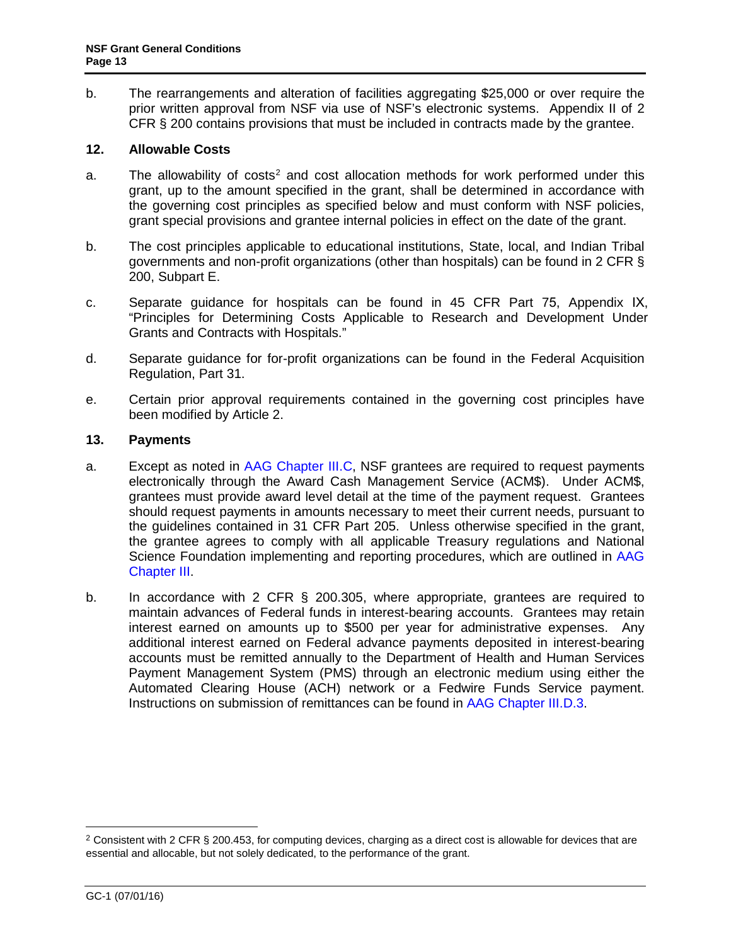<span id="page-12-0"></span>b. The rearrangements and alteration of facilities aggregating \$25,000 or over require the prior written approval from NSF via use of NSF's electronic systems. Appendix II of 2 CFR § 200 contains provisions that must be included in contracts made by the grantee.

# <span id="page-12-1"></span>**12. Allowable Costs**

- a. The allowability of costs<sup>[2](#page-12-2)</sup> and cost allocation methods for work performed under this grant, up to the amount specified in the grant, shall be determined in accordance with the governing cost principles as specified below and must conform with NSF policies, grant special provisions and grantee internal policies in effect on the date of the grant.
- <span id="page-12-3"></span>b. The cost principles applicable to educational institutions, State, local, and Indian Tribal governments and non-profit organizations (other than hospitals) can be found in 2 CFR § 200, Subpart E.
- c. Separate guidance for hospitals can be found in [45 CFR Part 7](http://a257.g.akamaitech.net/7/257/2422/13nov20061500/edocket.access.gpo.gov/cfr_2006/octqtr/pdf/45cfr74.91.pdf)5, Appendix IX, "Principles for Determining Costs Applicable to Research and Development Under Grants and Contracts with Hospitals."
- d. Separate guidance for for-profit organizations can be found in the Federal Acquisition Regulation, Part 31.
- e. Certain prior approval requirements contained in the governing cost principles have been modified by Article 2.

# **13. Payments**

- a. Except as noted in [AAG Chapter III.C,](http://www.nsf.gov/pubs/policydocs/pappguide/nsf16001/aag_3.jsp#IIIC) NSF grantees are required to request payments electronically through the Award Cash Management Service (ACM\$). Under ACM\$, grantees must provide award level detail at the time of the payment request. Grantees should request payments in amounts necessary to meet their current needs, pursuant to the guidelines contained in [31 CFR Part 205.](http://www.access.gpo.gov/nara/cfr/waisidx_06/31cfr205_06.html) Unless otherwise specified in the grant, the grantee agrees to comply with all applicable Treasury regulations and National Science Foundation implementing and reporting procedures, which are outlined in [AAG](http://www.nsf.gov/pubs/policydocs/pappguide/nsf16001/aag_3.jsp) [Chapter III.](http://www.nsf.gov/pubs/policydocs/pappguide/nsf16001/aag_3.jsp)
- b. In accordance with [2 CFR § 200.3](http://www.access.gpo.gov/nara/cfr/waisidx_06/31cfr205_06.html)05, where appropriate, grantees are required to maintain advances of Federal funds in interest-bearing accounts. Grantees may retain interest earned on amounts up to \$500 per year for administrative expenses. Any additional interest earned on Federal advance payments deposited in interest-bearing accounts must be remitted annually to the Department of Health and Human Services Payment Management System (PMS) through an electronic medium using either the Automated Clearing House (ACH) network or a Fedwire Funds Service payment. Instructions on submission of remittances can be found in [AAG Chapter III.D.3.](http://www.nsf.gov/pubs/policydocs/pappguide/nsf16001/aag_3.jsp#IIID3)

<span id="page-12-2"></span><sup>&</sup>lt;sup>2</sup> Consistent with 2 CFR § 200.453, for computing devices, charging as a direct cost is allowable for devices that are essential and allocable, but not solely dedicated, to the performance of the grant.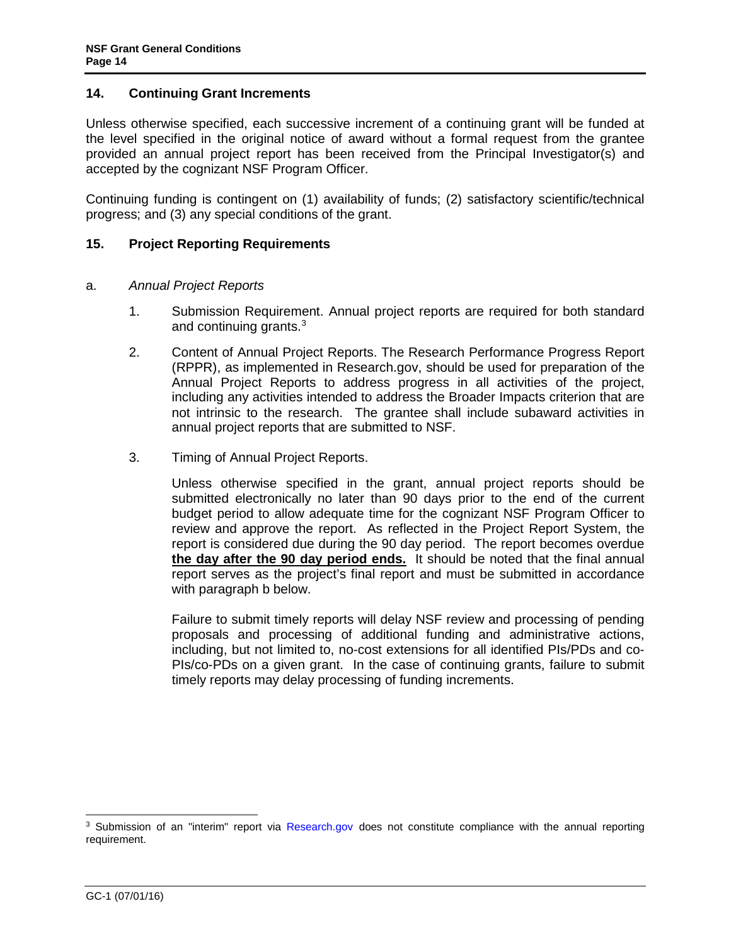#### <span id="page-13-0"></span>**14. Continuing Grant Increments**

Unless otherwise specified, each successive increment of a continuing grant will be funded at the level specified in the original notice of award without a formal request from the grantee provided an annual project report has been received from the Principal Investigator(s) and accepted by the cognizant NSF Program Officer.

Continuing funding is contingent on (1) availability of funds; (2) satisfactory scientific/technical progress; and (3) any special conditions of the grant.

# **15. Project Reporting Requirements**

#### a. *Annual Project Reports*

- 1. Submission Requirement. Annual project reports are required for both standard and continuing grants.[3](#page-13-1)
- 2. Content of Annual Project Reports. The Research Performance Progress Report (RPPR), as implemented in Research.gov, should be used for preparation of the Annual Project Reports to address progress in all activities of the project, including any activities intended to address the Broader Impacts criterion that are not intrinsic to the research. The grantee shall include subaward activities in annual project reports that are submitted to NSF.
- 3. Timing of Annual Project Reports.

Unless otherwise specified in the grant, annual project reports should be submitted electronically no later than 90 days prior to the end of the current budget period to allow adequate time for the cognizant NSF Program Officer to review and approve the report. As reflected in the Project Report System, the report is considered due during the 90 day period. The report becomes overdue **the day after the 90 day period ends.** It should be noted that the final annual report serves as the project's final report and must be submitted in accordance with paragraph b below.

Failure to submit timely reports will delay NSF review and processing of pending proposals and processing of additional funding and administrative actions, including, but not limited to, no-cost extensions for all identified PIs/PDs and co-PIs/co-PDs on a given grant. In the case of continuing grants, failure to submit timely reports may delay processing of funding increments.

<span id="page-13-1"></span><sup>&</sup>lt;sup>3</sup> Submission of an "interim" report via [Research.gov](http://www.research.gov/) does not constitute compliance with the annual reporting requirement.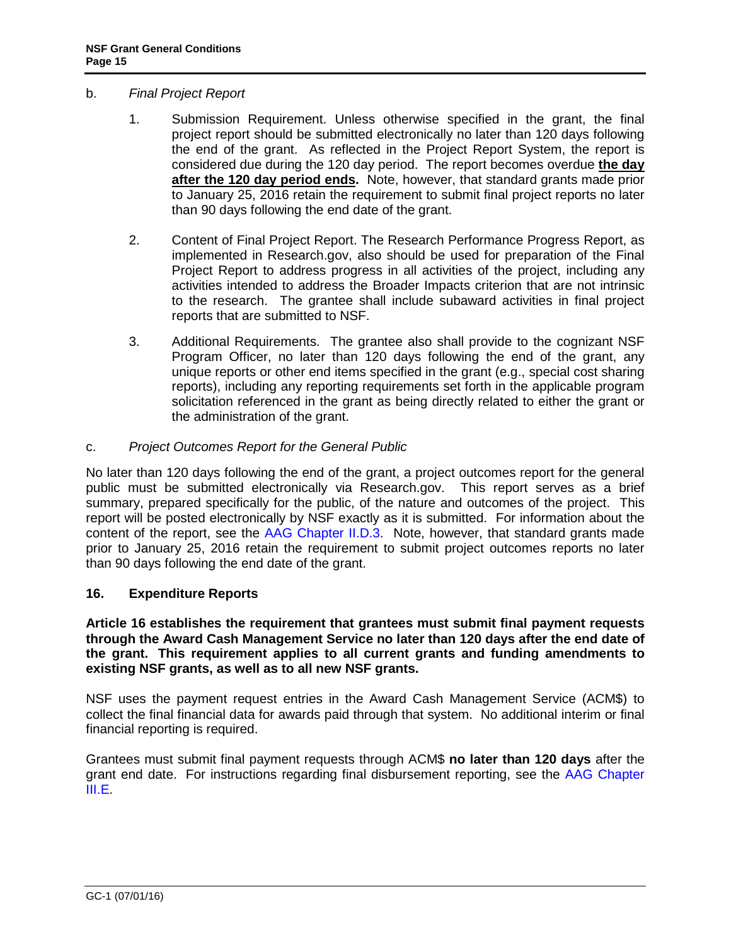# <span id="page-14-0"></span>b. *Final Project Report*

- 1. Submission Requirement. Unless otherwise specified in the grant, the final project report should be submitted electronically no later than 120 days following the end of the grant. As reflected in the Project Report System, the report is considered due during the 120 day period. The report becomes overdue **the day after the 120 day period ends.** Note, however, that standard grants made prior to January 25, 2016 retain the requirement to submit final project reports no later than 90 days following the end date of the grant.
- 2. Content of Final Project Report. The Research Performance Progress Report, as implemented in Research.gov, also should be used for preparation of the Final Project Report to address progress in all activities of the project, including any activities intended to address the Broader Impacts criterion that are not intrinsic to the research. The grantee shall include subaward activities in final project reports that are submitted to NSF.
- 3. Additional Requirements. The grantee also shall provide to the cognizant NSF Program Officer, no later than 120 days following the end of the grant, any unique reports or other end items specified in the grant (e.g., special cost sharing reports), including any reporting requirements set forth in the applicable program solicitation referenced in the grant as being directly related to either the grant or the administration of the grant.

# c. *Project Outcomes Report for the General Public*

No later than 120 days following the end of the grant, a project outcomes report for the general public must be submitted electronically via Research.gov. This report serves as a brief summary, prepared specifically for the public, of the nature and outcomes of the project. This report will be posted electronically by NSF exactly as it is submitted. For information about the content of the report, see the [AAG Chapter II.D.3.](http://www.nsf.gov/pubs/policydocs/pappguide/nsf16001/aag_2.jsp#IID3) Note, however, that standard grants made prior to January 25, 2016 retain the requirement to submit project outcomes reports no later than 90 days following the end date of the grant.

# **16. Expenditure Reports**

**Article 16 establishes the requirement that grantees must submit final payment requests through the Award Cash Management Service no later than 120 days after the end date of the grant. This requirement applies to all current grants and funding amendments to existing NSF grants, as well as to all new NSF grants.**

NSF uses the payment request entries in the Award Cash Management Service (ACM\$) to collect the final financial data for awards paid through that system. No additional interim or final financial reporting is required.

Grantees must submit final payment requests through ACM\$ **no later than 120 days** after the grant end date. For instructions regarding final disbursement reporting, see the [AAG Chapter](http://www.nsf.gov/pubs/policydocs/pappguide/nsf16001/aag_3.jsp#IIIE)  [III.E.](http://www.nsf.gov/pubs/policydocs/pappguide/nsf16001/aag_3.jsp#IIIE)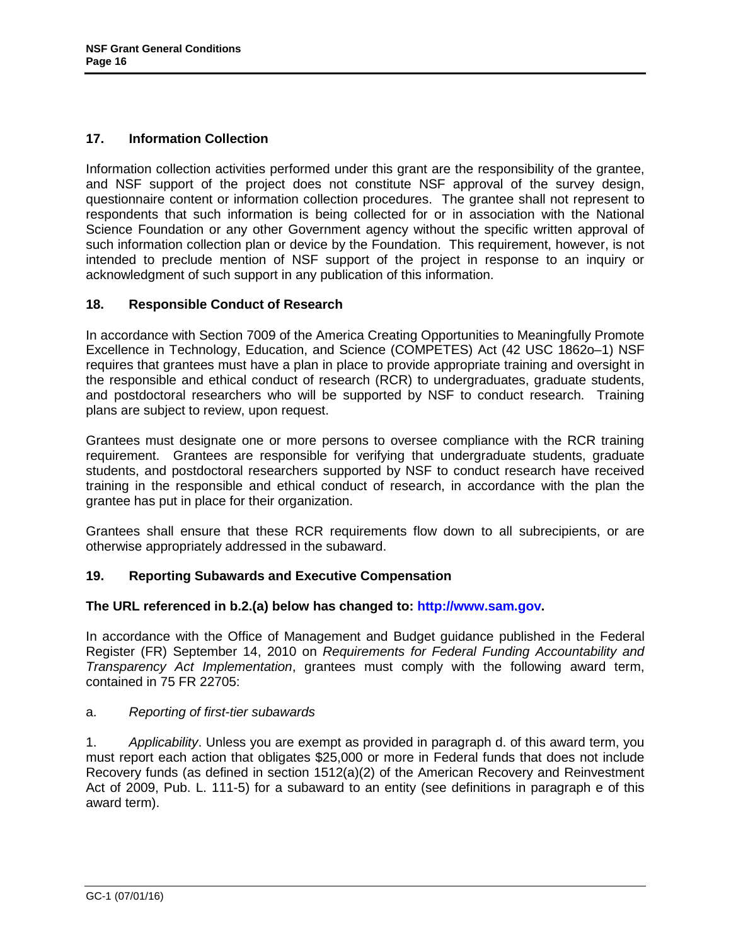# <span id="page-15-0"></span>**17. Information Collection**

Information collection activities performed under this grant are the responsibility of the grantee, and NSF support of the project does not constitute NSF approval of the survey design, questionnaire content or information collection procedures. The grantee shall not represent to respondents that such information is being collected for or in association with the National Science Foundation or any other Government agency without the specific written approval of such information collection plan or device by the Foundation. This requirement, however, is not intended to preclude mention of NSF support of the project in response to an inquiry or acknowledgment of such support in any publication of this information.

# **18. Responsible Conduct of Research**

In accordance with Section 7009 of the America Creating Opportunities to Meaningfully Promote Excellence in Technology, Education, and Science (COMPETES) Act (42 USC 1862o–1) NSF requires that grantees must have a plan in place to provide appropriate training and oversight in the responsible and ethical conduct of research (RCR) to undergraduates, graduate students, and postdoctoral researchers who will be supported by NSF to conduct research. Training plans are subject to review, upon request.

Grantees must designate one or more persons to oversee compliance with the RCR training requirement. Grantees are responsible for verifying that undergraduate students, graduate students, and postdoctoral researchers supported by NSF to conduct research have received training in the responsible and ethical conduct of research, in accordance with the plan the grantee has put in place for their organization.

Grantees shall ensure that these RCR requirements flow down to all subrecipients, or are otherwise appropriately addressed in the subaward.

# **19. Reporting Subawards and Executive Compensation**

#### **The URL referenced in b.2.(a) below has changed to: [http://www.sam.gov.](http://www.sam.gov/)**

In accordance with the Office of Management and Budget guidance published in the Federal Register (FR) September 14, 2010 on *Requirements for Federal Funding Accountability and Transparency Act Implementation*, grantees must comply with the following award term, contained in 75 FR 22705:

#### a. *Reporting of first-tier subawards*

1. *Applicability*. Unless you are exempt as provided in paragraph d. of this award term, you must report each action that obligates \$25,000 or more in Federal funds that does not include Recovery funds (as defined in section 1512(a)(2) of the American Recovery and Reinvestment Act of 2009, Pub. L. 111-5) for a subaward to an entity (see definitions in paragraph e of this award term).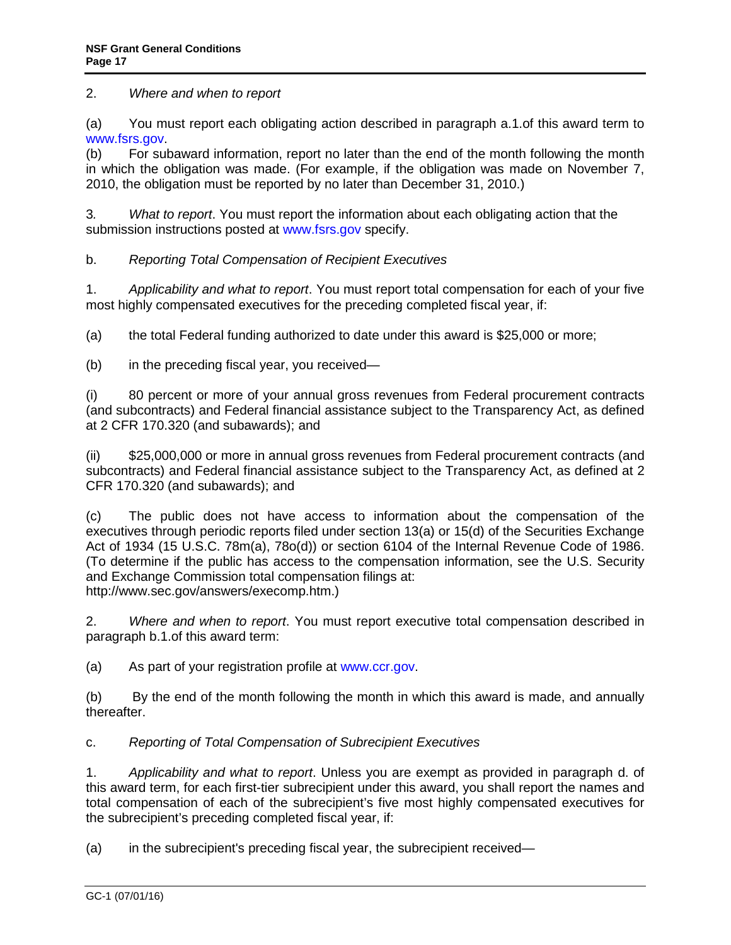2. *Where and when to report*

(a) You must report each obligating action described in paragraph a.1.of this award term to [www.fsrs.gov.](http://www.fsrs.gov/)

(b) For subaward information, report no later than the end of the month following the month in which the obligation was made. (For example, if the obligation was made on November 7, 2010, the obligation must be reported by no later than December 31, 2010.)

3*. What to report*. You must report the information about each obligating action that the submission instructions posted at [www.fsrs.gov](http://www.fsrs.gov/) specify.

b. *Reporting Total Compensation of Recipient Executives*

1. *Applicability and what to report*. You must report total compensation for each of your five most highly compensated executives for the preceding completed fiscal year, if:

(a) the total Federal funding authorized to date under this award is \$25,000 or more;

(b) in the preceding fiscal year, you received—

(i) 80 percent or more of your annual gross revenues from Federal procurement contracts (and subcontracts) and Federal financial assistance subject to the Transparency Act, as defined at 2 CFR 170.320 (and subawards); and

(ii) \$25,000,000 or more in annual gross revenues from Federal procurement contracts (and subcontracts) and Federal financial assistance subject to the Transparency Act, as defined at 2 CFR 170.320 (and subawards); and

(c) The public does not have access to information about the compensation of the executives through periodic reports filed under section 13(a) or 15(d) of the Securities Exchange Act of 1934 (15 U.S.C. 78m(a), 78o(d)) or section 6104 of the Internal Revenue Code of 1986. (To determine if the public has access to the compensation information, see the U.S. Security and Exchange Commission total compensation filings at: http://www.sec.gov/answers/execomp.htm.)

2. *Where and when to report*. You must report executive total compensation described in paragraph b.1.of this award term:

(a) As part of your registration profile at [www.ccr.gov.](http://www.sam.gov/)

(b) By the end of the month following the month in which this award is made, and annually thereafter.

c. *Reporting of Total Compensation of Subrecipient Executives*

1. *Applicability and what to report*. Unless you are exempt as provided in paragraph d. of this award term, for each first-tier subrecipient under this award, you shall report the names and total compensation of each of the subrecipient's five most highly compensated executives for the subrecipient's preceding completed fiscal year, if:

(a) in the subrecipient's preceding fiscal year, the subrecipient received—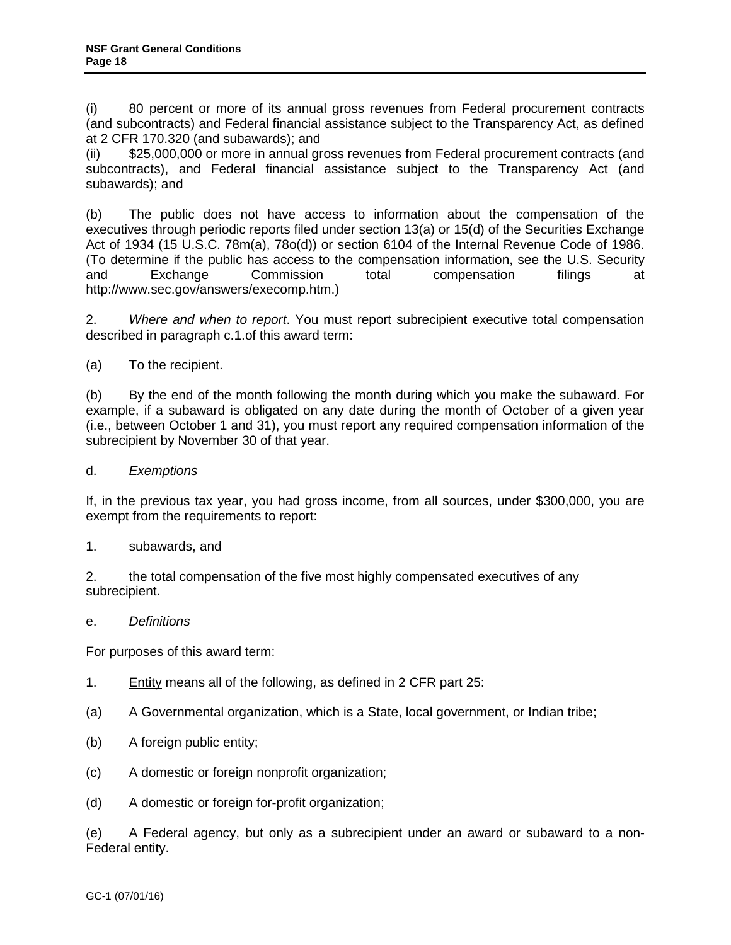(i) 80 percent or more of its annual gross revenues from Federal procurement contracts (and subcontracts) and Federal financial assistance subject to the Transparency Act, as defined at 2 CFR 170.320 (and subawards); and

(ii) \$25,000,000 or more in annual gross revenues from Federal procurement contracts (and subcontracts), and Federal financial assistance subject to the Transparency Act (and subawards); and

(b) The public does not have access to information about the compensation of the executives through periodic reports filed under section 13(a) or 15(d) of the Securities Exchange Act of 1934 (15 U.S.C. 78m(a), 78o(d)) or section 6104 of the Internal Revenue Code of 1986. (To determine if the public has access to the compensation information, see the U.S. Security and Exchange Commission total compensation filings at http://www.sec.gov/answers/execomp.htm.)

2. *Where and when to report*. You must report subrecipient executive total compensation described in paragraph c.1.of this award term:

(a) To the recipient.

(b) By the end of the month following the month during which you make the subaward. For example, if a subaward is obligated on any date during the month of October of a given year (i.e., between October 1 and 31), you must report any required compensation information of the subrecipient by November 30 of that year.

d. *Exemptions*

If, in the previous tax year, you had gross income, from all sources, under \$300,000, you are exempt from the requirements to report:

1. subawards, and

2. the total compensation of the five most highly compensated executives of any subrecipient.

e. *Definitions* 

For purposes of this award term:

- 1. Entity means all of the following, as defined in 2 CFR part 25:
- (a) A Governmental organization, which is a State, local government, or Indian tribe;
- (b) A foreign public entity;
- (c) A domestic or foreign nonprofit organization;
- (d) A domestic or foreign for-profit organization;

(e) A Federal agency, but only as a subrecipient under an award or subaward to a non-Federal entity.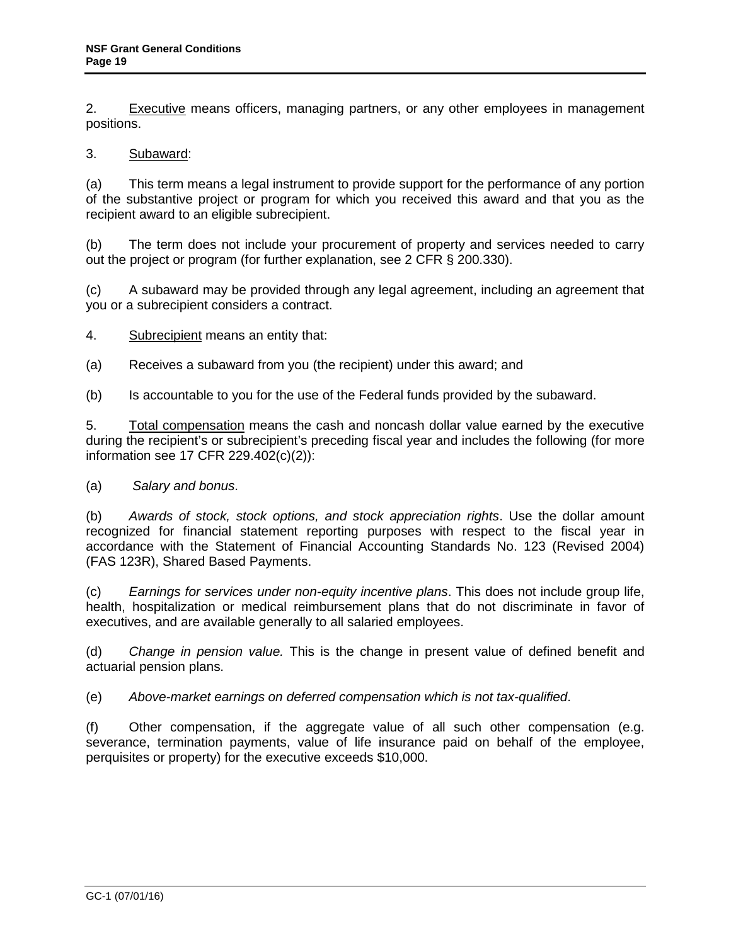2. Executive means officers, managing partners, or any other employees in management positions.

# 3. Subaward:

(a) This term means a legal instrument to provide support for the performance of any portion of the substantive project or program for which you received this award and that you as the recipient award to an eligible subrecipient.

(b) The term does not include your procurement of property and services needed to carry out the project or program (for further explanation, see 2 CFR § 200.330).

(c) A subaward may be provided through any legal agreement, including an agreement that you or a subrecipient considers a contract.

4. Subrecipient means an entity that:

(a) Receives a subaward from you (the recipient) under this award; and

(b) Is accountable to you for the use of the Federal funds provided by the subaward.

5. Total compensation means the cash and noncash dollar value earned by the executive during the recipient's or subrecipient's preceding fiscal year and includes the following (for more information see 17 CFR 229.402(c)(2)):

#### (a) *Salary and bonus*.

(b) *Awards of stock, stock options, and stock appreciation rights*. Use the dollar amount recognized for financial statement reporting purposes with respect to the fiscal year in accordance with the Statement of Financial Accounting Standards No. 123 (Revised 2004) (FAS 123R), Shared Based Payments.

(c) *Earnings for services under non-equity incentive plans*. This does not include group life, health, hospitalization or medical reimbursement plans that do not discriminate in favor of executives, and are available generally to all salaried employees.

(d) *Change in pension value.* This is the change in present value of defined benefit and actuarial pension plans.

(e) *Above-market earnings on deferred compensation which is not tax-qualified*.

(f) Other compensation, if the aggregate value of all such other compensation (e.g. severance, termination payments, value of life insurance paid on behalf of the employee, perquisites or property) for the executive exceeds \$10,000.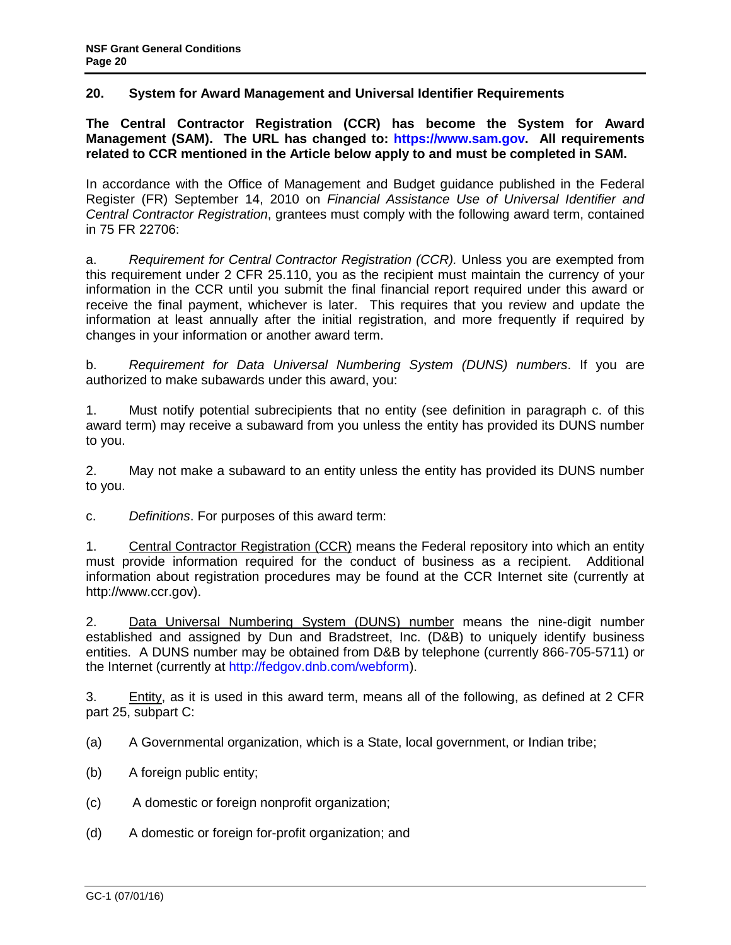# <span id="page-19-0"></span>**20. System for Award Management and Universal Identifier Requirements**

**The Central Contractor Registration (CCR) has become the System for Award Management (SAM). The URL has changed to: [https://www.sam.gov.](https://www.sam.gov/) All requirements related to CCR mentioned in the Article below apply to and must be completed in SAM.** 

In accordance with the Office of Management and Budget guidance published in the Federal Register (FR) September 14, 2010 on *Financial Assistance Use of Universal Identifier and Central Contractor Registration*, grantees must comply with the following award term, contained in 75 FR 22706:

a. *Requirement for Central Contractor Registration (CCR).* Unless you are exempted from this requirement under 2 CFR 25.110, you as the recipient must maintain the currency of your information in the CCR until you submit the final financial report required under this award or receive the final payment, whichever is later. This requires that you review and update the information at least annually after the initial registration, and more frequently if required by changes in your information or another award term.

b. *Requirement for Data Universal Numbering System (DUNS) numbers*. If you are authorized to make subawards under this award, you:

1. Must notify potential subrecipients that no entity (see definition in paragraph c. of this award term) may receive a subaward from you unless the entity has provided its DUNS number to you.

2. May not make a subaward to an entity unless the entity has provided its DUNS number to you.

c. *Definitions*. For purposes of this award term:

1. Central Contractor Registration (CCR) means the Federal repository into which an entity must provide information required for the conduct of business as a recipient. Additional information about registration procedures may be found at the CCR Internet site (currently at http://www.ccr.gov).

2. Data Universal Numbering System (DUNS) number means the nine-digit number established and assigned by Dun and Bradstreet, Inc. (D&B) to uniquely identify business entities. A DUNS number may be obtained from D&B by telephone (currently 866-705-5711) or the Internet (currently at [http://fedgov.dnb.com/webform\)](http://fedgov.dnb.com/webform).

3. Entity, as it is used in this award term, means all of the following, as defined at 2 CFR part 25, subpart C:

(a) A Governmental organization, which is a State, local government, or Indian tribe;

- (b) A foreign public entity;
- (c) A domestic or foreign nonprofit organization;
- (d) A domestic or foreign for-profit organization; and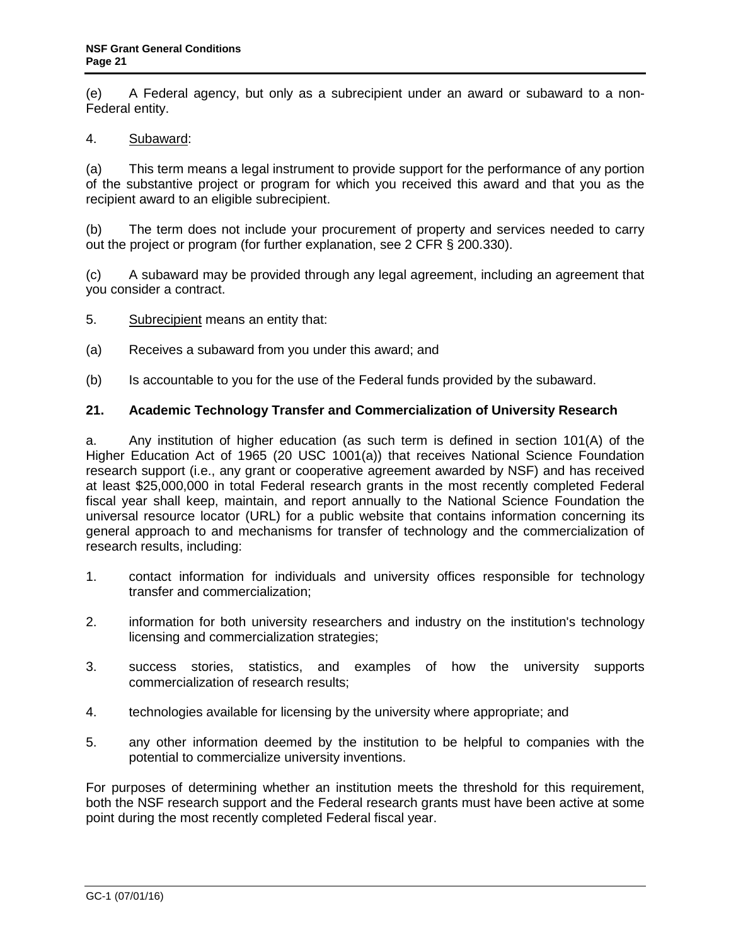<span id="page-20-0"></span>(e) A Federal agency, but only as a subrecipient under an award or subaward to a non-Federal entity.

### 4. Subaward:

(a) This term means a legal instrument to provide support for the performance of any portion of the substantive project or program for which you received this award and that you as the recipient award to an eligible subrecipient.

(b) The term does not include your procurement of property and services needed to carry out the project or program (for further explanation, see 2 CFR § 200.330).

(c) A subaward may be provided through any legal agreement, including an agreement that you consider a contract.

- 5. Subrecipient means an entity that:
- (a) Receives a subaward from you under this award; and
- (b) Is accountable to you for the use of the Federal funds provided by the subaward.

# **21. Academic Technology Transfer and Commercialization of University Research**

a. Any institution of higher education (as such term is defined in section 101(A) of the Higher Education Act of 1965 (20 USC 1001(a)) that receives National Science Foundation research support (i.e., any grant or cooperative agreement awarded by NSF) and has received at least \$25,000,000 in total Federal research grants in the most recently completed Federal fiscal year shall keep, maintain, and report annually to the National Science Foundation the universal resource locator (URL) for a public website that contains information concerning its general approach to and mechanisms for transfer of technology and the commercialization of research results, including:

- 1. contact information for individuals and university offices responsible for technology transfer and commercialization;
- 2. information for both university researchers and industry on the institution's technology licensing and commercialization strategies;
- 3. success stories, statistics, and examples of how the university supports commercialization of research results;
- 4. technologies available for licensing by the university where appropriate; and
- 5. any other information deemed by the institution to be helpful to companies with the potential to commercialize university inventions.

For purposes of determining whether an institution meets the threshold for this requirement, both the NSF research support and the Federal research grants must have been active at some point during the most recently completed Federal fiscal year.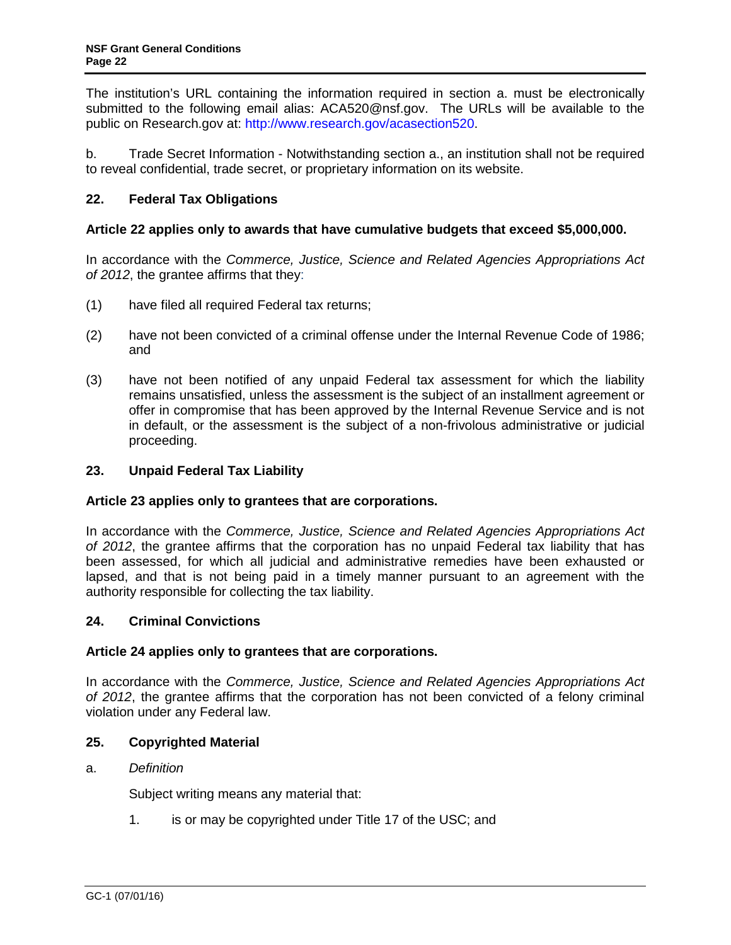<span id="page-21-0"></span>The institution's URL containing the information required in section a. must be electronically submitted to the following email alias: ACA520@nsf.gov. The URLs will be available to the public on Research.gov at: [http://www.research.gov/acasection520.](http://www.research.gov/acasection520)

b. Trade Secret Information - Notwithstanding section a., an institution shall not be required to reveal confidential, trade secret, or proprietary information on its website.

# **22. Federal Tax Obligations**

# **Article 22 applies only to awards that have cumulative budgets that exceed \$5,000,000.**

In accordance with the *Commerce, Justice, Science and Related Agencies Appropriations Act of 2012*, the grantee affirms that they:

- (1) have filed all required Federal tax returns;
- (2) have not been convicted of a criminal offense under the Internal Revenue Code of 1986; and
- (3) have not been notified of any unpaid Federal tax assessment for which the liability remains unsatisfied, unless the assessment is the subject of an installment agreement or offer in compromise that has been approved by the Internal Revenue Service and is not in default, or the assessment is the subject of a non-frivolous administrative or judicial proceeding.

# **23. Unpaid Federal Tax Liability**

#### **Article 23 applies only to grantees that are corporations.**

In accordance with the *Commerce, Justice, Science and Related Agencies Appropriations Act of 2012*, the grantee affirms that the corporation has no unpaid Federal tax liability that has been assessed, for which all judicial and administrative remedies have been exhausted or lapsed, and that is not being paid in a timely manner pursuant to an agreement with the authority responsible for collecting the tax liability.

#### **24. Criminal Convictions**

#### **Article 24 applies only to grantees that are corporations.**

In accordance with the *Commerce, Justice, Science and Related Agencies Appropriations Act of 2012*, the grantee affirms that the corporation has not been convicted of a felony criminal violation under any Federal law.

### **25. Copyrighted Material**

#### a. *Definition*

Subject writing means any material that:

1. is or may be copyrighted unde[r Title 17 of the USC;](http://www.access.gpo.gov/uscode/title17/title17.html) and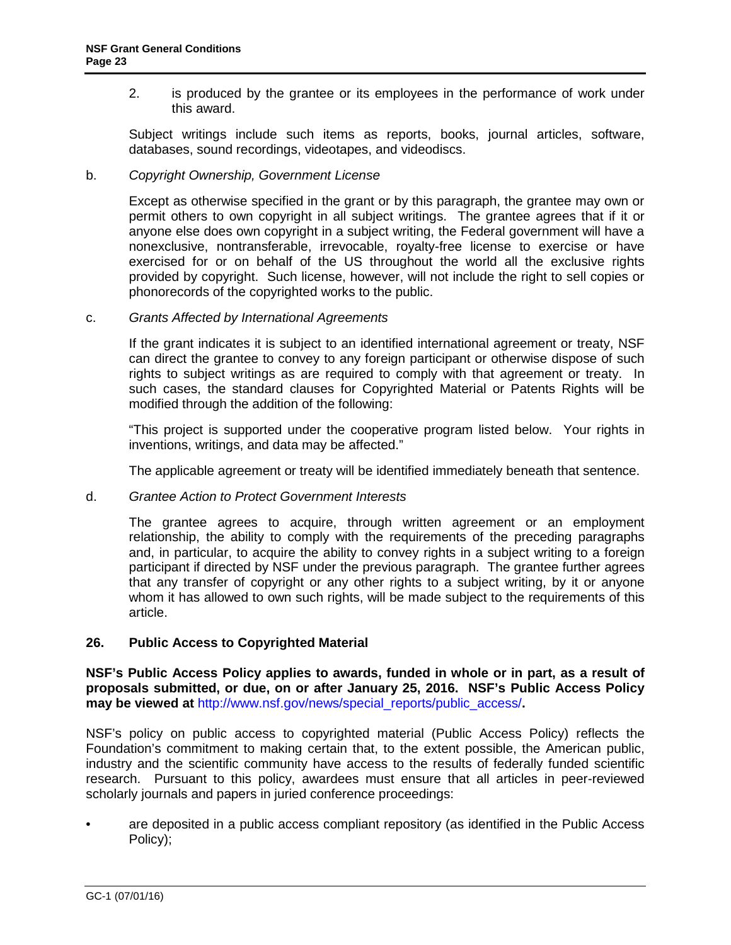<span id="page-22-0"></span>2. is produced by the grantee or its employees in the performance of work under this award.

Subject writings include such items as reports, books, journal articles, software, databases, sound recordings, videotapes, and videodiscs.

#### b. *Copyright Ownership, Government License*

Except as otherwise specified in the grant or by this paragraph, the grantee may own or permit others to own copyright in all subject writings. The grantee agrees that if it or anyone else does own copyright in a subject writing, the Federal government will have a nonexclusive, nontransferable, irrevocable, royalty-free license to exercise or have exercised for or on behalf of the US throughout the world all the exclusive rights provided by copyright. Such license, however, will not include the right to sell copies or phonorecords of the copyrighted works to the public.

c. *Grants Affected by International Agreements*

If the grant indicates it is subject to an identified international agreement or treaty, NSF can direct the grantee to convey to any foreign participant or otherwise dispose of such rights to subject writings as are required to comply with that agreement or treaty. In such cases, the standard clauses for Copyrighted Material or Patents Rights will be modified through the addition of the following:

"This project is supported under the cooperative program listed below. Your rights in inventions, writings, and data may be affected."

The applicable agreement or treaty will be identified immediately beneath that sentence.

#### d. *Grantee Action to Protect Government Interests*

The grantee agrees to acquire, through written agreement or an employment relationship, the ability to comply with the requirements of the preceding paragraphs and, in particular, to acquire the ability to convey rights in a subject writing to a foreign participant if directed by NSF under the previous paragraph. The grantee further agrees that any transfer of copyright or any other rights to a subject writing, by it or anyone whom it has allowed to own such rights, will be made subject to the requirements of this article.

#### **26. Public Access to Copyrighted Material**

**NSF's Public Access Policy applies to awards, funded in whole or in part, as a result of proposals submitted, or due, on or after January 25, 2016. NSF's Public Access Policy may be viewed at** [http://www.nsf.gov/news/special\\_reports/public\\_access/](http://www.nsf.gov/news/special_reports/public_access/)**.**

NSF's policy on public access to copyrighted material (Public Access Policy) reflects the Foundation's commitment to making certain that, to the extent possible, the American public, industry and the scientific community have access to the results of federally funded scientific research. Pursuant to this policy, awardees must ensure that all articles in peer-reviewed scholarly journals and papers in juried conference proceedings:

• are deposited in a public access compliant repository (as identified in the Public Access Policy);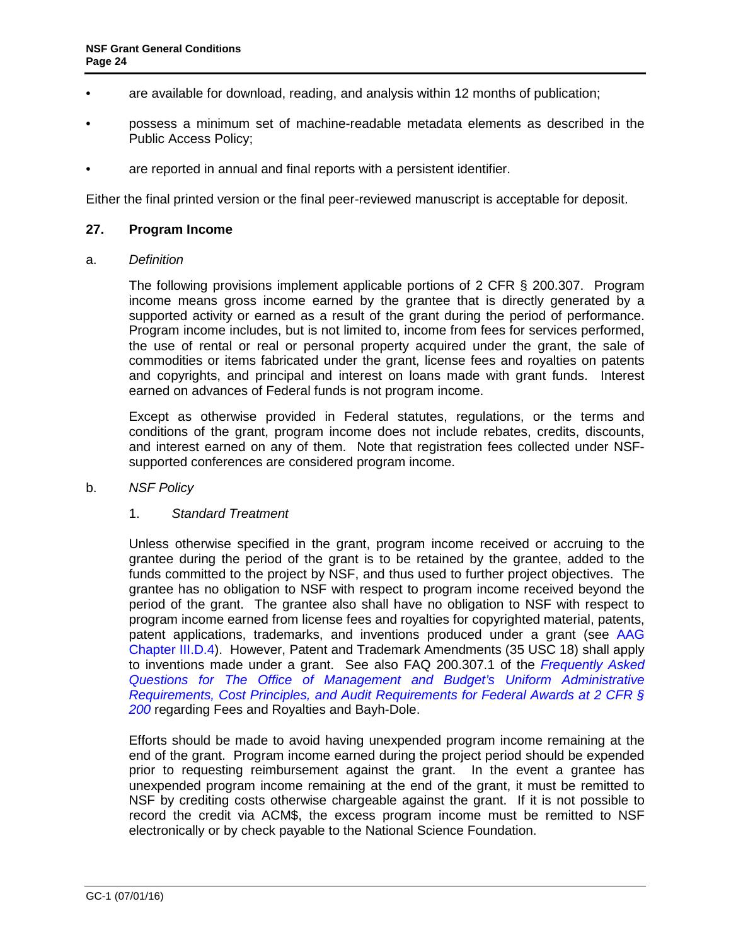- <span id="page-23-0"></span>• are available for download, reading, and analysis within 12 months of publication;
- possess a minimum set of machine-readable metadata elements as described in the Public Access Policy;
- are reported in annual and final reports with a persistent identifier.

Either the final printed version or the final peer-reviewed manuscript is acceptable for deposit.

### **27. Program Income**

a. *Definition*

The following provisions implement applicable portions of 2 CFR § 200.307. Program income means gross income earned by the grantee that is directly generated by a supported activity or earned as a result of the grant during the period of performance. Program income includes, but is not limited to, income from fees for services performed, the use of rental or real or personal property acquired under the grant, the sale of commodities or items fabricated under the grant, license fees and royalties on patents and copyrights, and principal and interest on loans made with grant funds. Interest earned on advances of Federal funds is not program income.

Except as otherwise provided in Federal statutes, regulations, or the terms and conditions of the grant, program income does not include rebates, credits, discounts, and interest earned on any of them. Note that registration fees collected under NSFsupported conferences are considered program income.

#### b. *NSF Policy*

#### 1. *Standard Treatment*

Unless otherwise specified in the grant, program income received or accruing to the grantee during the period of the grant is to be retained by the grantee, added to the funds committed to the project by NSF, and thus used to further project objectives. The grantee has no obligation to NSF with respect to program income received beyond the period of the grant. The grantee also shall have no obligation to NSF with respect to program income earned from license fees and royalties for copyrighted material, patents, patent applications, trademarks, and inventions produced under a grant (see [AAG](http://www.nsf.gov/pubs/policydocs/pappguide/nsf16001/aag_3.jsp#IIID4)  [Chapter III.D.4\)](http://www.nsf.gov/pubs/policydocs/pappguide/nsf16001/aag_3.jsp#IIID4). However, Patent and Trademark Amendments (35 USC 18) shall apply to inventions made under a grant. See also FAQ 200.307.1 of the *[Frequently Asked](https://cfo.gov/wp-content/uploads/2015/09/9.9.15-Frequently-Asked-Questions.pdf)  [Questions for The Office of Management and Budget's Uniform Administrative](https://cfo.gov/wp-content/uploads/2015/09/9.9.15-Frequently-Asked-Questions.pdf)  [Requirements, Cost Principles, and Audit Requirements for Federal Awards at 2 CFR §](https://cfo.gov/wp-content/uploads/2015/09/9.9.15-Frequently-Asked-Questions.pdf)  [200](https://cfo.gov/wp-content/uploads/2015/09/9.9.15-Frequently-Asked-Questions.pdf)* regarding Fees and Royalties and Bayh-Dole.

Efforts should be made to avoid having unexpended program income remaining at the end of the grant. Program income earned during the project period should be expended prior to requesting reimbursement against the grant. In the event a grantee has unexpended program income remaining at the end of the grant, it must be remitted to NSF by crediting costs otherwise chargeable against the grant. If it is not possible to record the credit via ACM\$, the excess program income must be remitted to NSF electronically or by check payable to the National Science Foundation.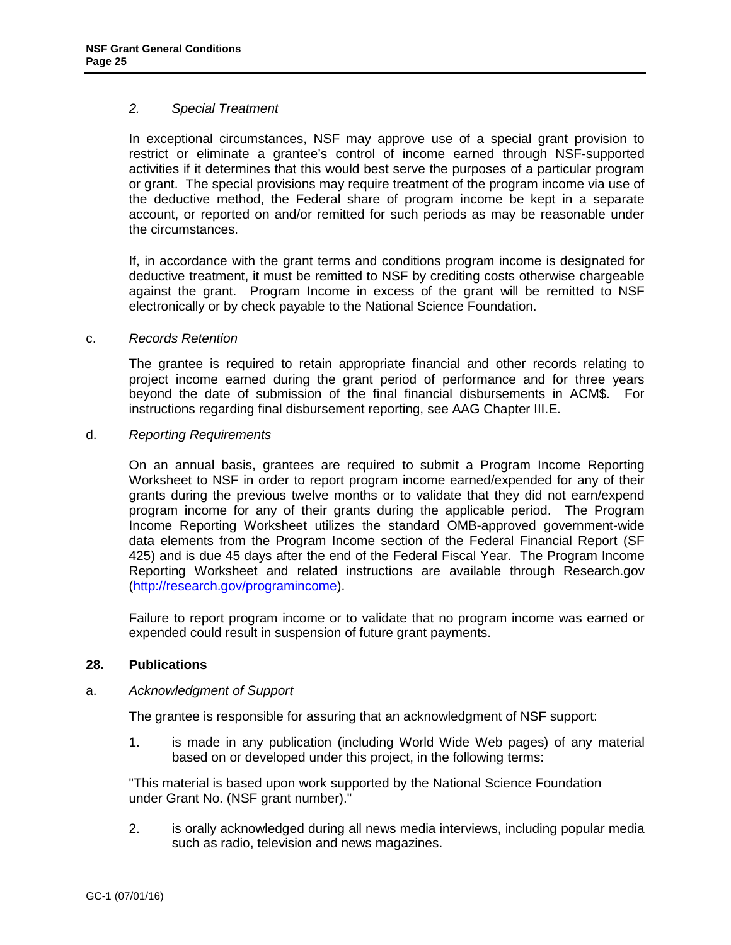#### <span id="page-24-0"></span>*2. Special Treatment*

In exceptional circumstances, NSF may approve use of a special grant provision to restrict or eliminate a grantee's control of income earned through NSF-supported activities if it determines that this would best serve the purposes of a particular program or grant. The special provisions may require treatment of the program income via use of the deductive method, the Federal share of program income be kept in a separate account, or reported on and/or remitted for such periods as may be reasonable under the circumstances.

If, in accordance with the grant terms and conditions program income is designated for deductive treatment, it must be remitted to NSF by crediting costs otherwise chargeable against the grant. Program Income in excess of the grant will be remitted to NSF electronically or by check payable to the National Science Foundation.

# c. *Records Retention*

The grantee is required to retain appropriate financial and other records relating to project income earned during the grant period of performance and for three years beyond the date of submission of the final financial disbursements in ACM\$. For instructions regarding final disbursement reporting, see AAG Chapter III.E.

# d. *Reporting Requirements*

On an annual basis, grantees are required to submit a Program Income Reporting Worksheet to NSF in order to report program income earned/expended for any of their grants during the previous twelve months or to validate that they did not earn/expend program income for any of their grants during the applicable period. The Program Income Reporting Worksheet utilizes the standard OMB-approved government-wide data elements from the Program Income section of the Federal Financial Report (SF 425) and is due 45 days after the end of the Federal Fiscal Year. The Program Income Reporting Worksheet and related instructions are available through Research.gov [\(http://research.gov/programincome\)](http://research.gov/programincome).

Failure to report program income or to validate that no program income was earned or expended could result in suspension of future grant payments.

# **28. Publications**

#### a. *Acknowledgment of Support*

The grantee is responsible for assuring that an acknowledgment of NSF support:

1. is made in any publication (including World Wide Web pages) of any material based on or developed under this project, in the following terms:

"This material is based upon work supported by the National Science Foundation under Grant No. (NSF grant number)."

2. is orally acknowledged during all news media interviews, including popular media such as radio, television and news magazines.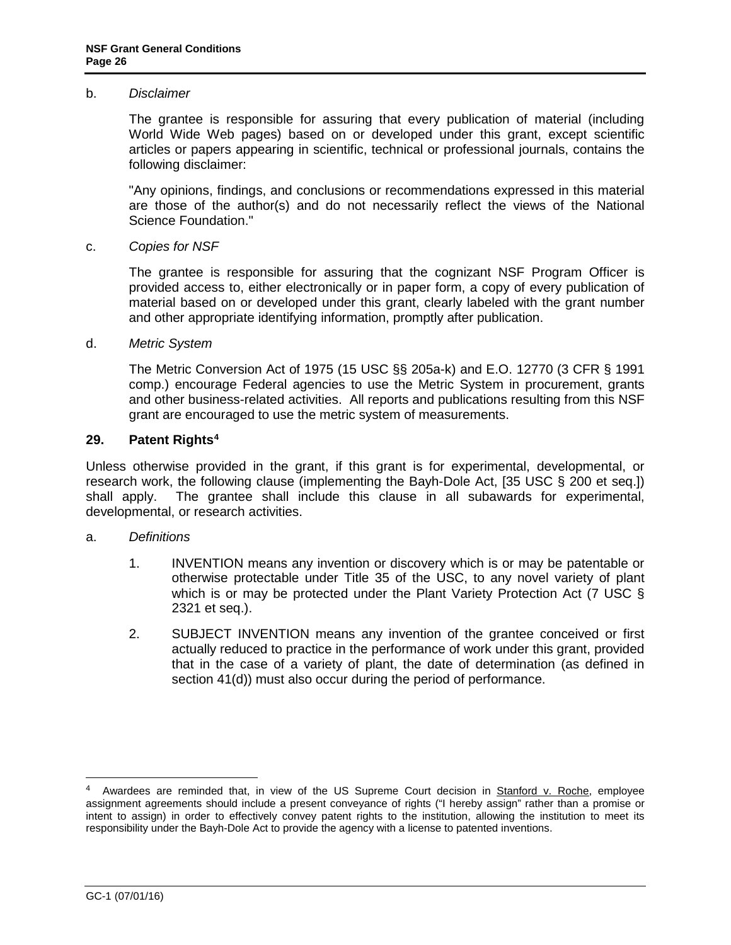#### <span id="page-25-0"></span>b. *Disclaimer*

The grantee is responsible for assuring that every publication of material (including World Wide Web pages) based on or developed under this grant, except scientific articles or papers appearing in scientific, technical or professional journals, contains the following disclaimer:

"Any opinions, findings, and conclusions or recommendations expressed in this material are those of the author(s) and do not necessarily reflect the views of the National Science Foundation."

#### c. *Copies for NSF*

The grantee is responsible for assuring that the cognizant NSF Program Officer is provided access to, either electronically or in paper form, a copy of every publication of material based on or developed under this grant, clearly labeled with the grant number and other appropriate identifying information, promptly after publication.

#### d. *Metric System*

The Metric Conversion Act of 1975 (15 USC §§ 205a-k) and E.O. 12770 (3 CFR § 1991 comp.) encourage Federal agencies to use the Metric System in procurement, grants and other business-related activities. All reports and publications resulting from this NSF grant are encouraged to use the metric system of measurements.

#### **29. Patent Right[s4](#page-25-1)**

Unless otherwise provided in the grant, if this grant is for experimental, developmental, or research work, the following clause (implementing the Bayh-Dole Act, [\[35 USC § 200 et seq.](http://uscode.house.gov/download/pls/35T.txt)]) shall apply. The grantee shall include this clause in all subawards for experimental, developmental, or research activities.

#### a. *Definitions*

- 1. INVENTION means any invention or discovery which is or may be patentable or otherwise protectable under Title 35 of the USC, to any novel variety of plant which is or may be protected under the Plant Variety Protection Act (7 USC § [2321 et seq.](http://www.access.gpo.gov/uscode/title7/chapter57_.html)).
- 2. SUBJECT INVENTION means any invention of the grantee conceived or first actually reduced to practice in the performance of work under this grant, provided that in the case of a variety of plant, the date of determination (as defined in section 41(d)) must also occur during the period of performance.

<span id="page-25-1"></span> <sup>4</sup> Awardees are reminded that, in view of the US Supreme Court decision in Stanford v. Roche, employee assignment agreements should include a present conveyance of rights ("I hereby assign" rather than a promise or intent to assign) in order to effectively convey patent rights to the institution, allowing the institution to meet its responsibility under the Bayh-Dole Act to provide the agency with a license to patented inventions.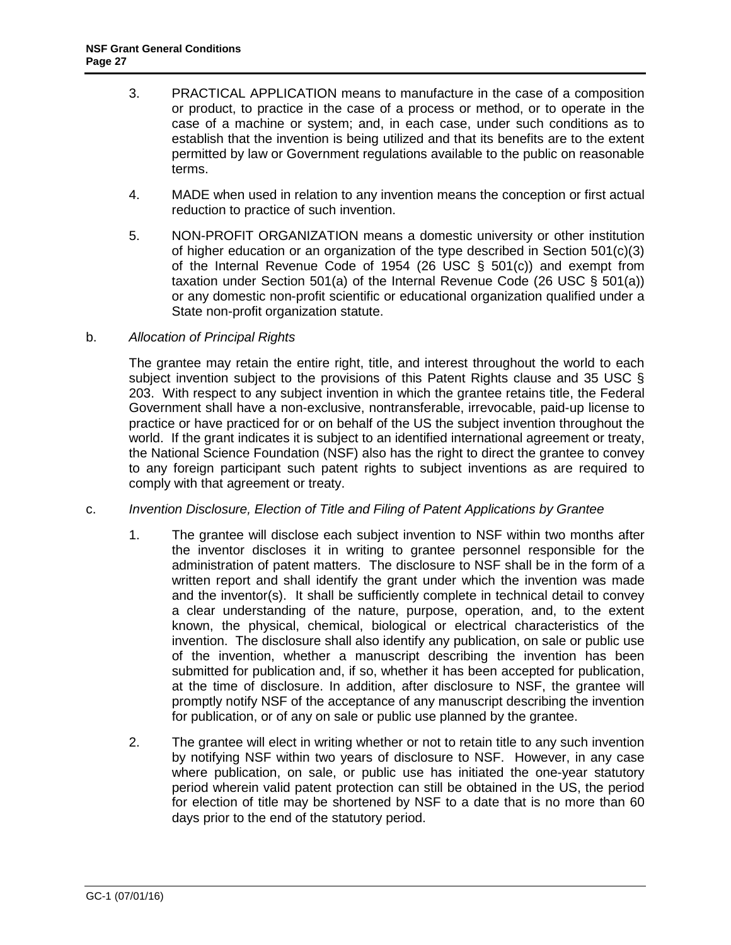- 3. PRACTICAL APPLICATION means to manufacture in the case of a composition or product, to practice in the case of a process or method, or to operate in the case of a machine or system; and, in each case, under such conditions as to establish that the invention is being utilized and that its benefits are to the extent permitted by law or Government regulations available to the public on reasonable terms.
- 4. MADE when used in relation to any invention means the conception or first actual reduction to practice of such invention.
- 5. NON-PROFIT ORGANIZATION means a domestic university or other institution of higher education or an organization of the type described in Section  $501(c)(3)$ of the Internal Revenue Code of 1954 (26 USC  $\S$  501(c)) and exempt from taxation under Section 501(a) of the Internal Revenue Code [\(26 USC § 501\(a\)\)](http://frwebgate.access.gpo.gov/cgi-bin/getdoc.cgi?dbname=browse_usc&docid=Cite:+26USC501) or any domestic non-profit scientific or educational organization qualified under a State non-profit organization statute.

# b. *Allocation of Principal Rights*

The grantee may retain the entire right, title, and interest throughout the world to each subject invention subject to the provisions of this Patent Rights clause and 35 USC § [203.](http://frwebgate.access.gpo.gov/cgi-bin/getdoc.cgi?dbname=browse_usc&docid=Cite:+35USC203) With respect to any subject invention in which the grantee retains title, the Federal Government shall have a non-exclusive, nontransferable, irrevocable, paid-up license to practice or have practiced for or on behalf of the US the subject invention throughout the world. If the grant indicates it is subject to an identified international agreement or treaty, the National Science Foundation (NSF) also has the right to direct the grantee to convey to any foreign participant such patent rights to subject inventions as are required to comply with that agreement or treaty.

#### c. *Invention Disclosure, Election of Title and Filing of Patent Applications by Grantee*

- 1. The grantee will disclose each subject invention to NSF within two months after the inventor discloses it in writing to grantee personnel responsible for the administration of patent matters. The disclosure to NSF shall be in the form of a written report and shall identify the grant under which the invention was made and the inventor(s). It shall be sufficiently complete in technical detail to convey a clear understanding of the nature, purpose, operation, and, to the extent known, the physical, chemical, biological or electrical characteristics of the invention. The disclosure shall also identify any publication, on sale or public use of the invention, whether a manuscript describing the invention has been submitted for publication and, if so, whether it has been accepted for publication, at the time of disclosure. In addition, after disclosure to NSF, the grantee will promptly notify NSF of the acceptance of any manuscript describing the invention for publication, or of any on sale or public use planned by the grantee.
- 2. The grantee will elect in writing whether or not to retain title to any such invention by notifying NSF within two years of disclosure to NSF. However, in any case where publication, on sale, or public use has initiated the one-year statutory period wherein valid patent protection can still be obtained in the US, the period for election of title may be shortened by NSF to a date that is no more than 60 days prior to the end of the statutory period.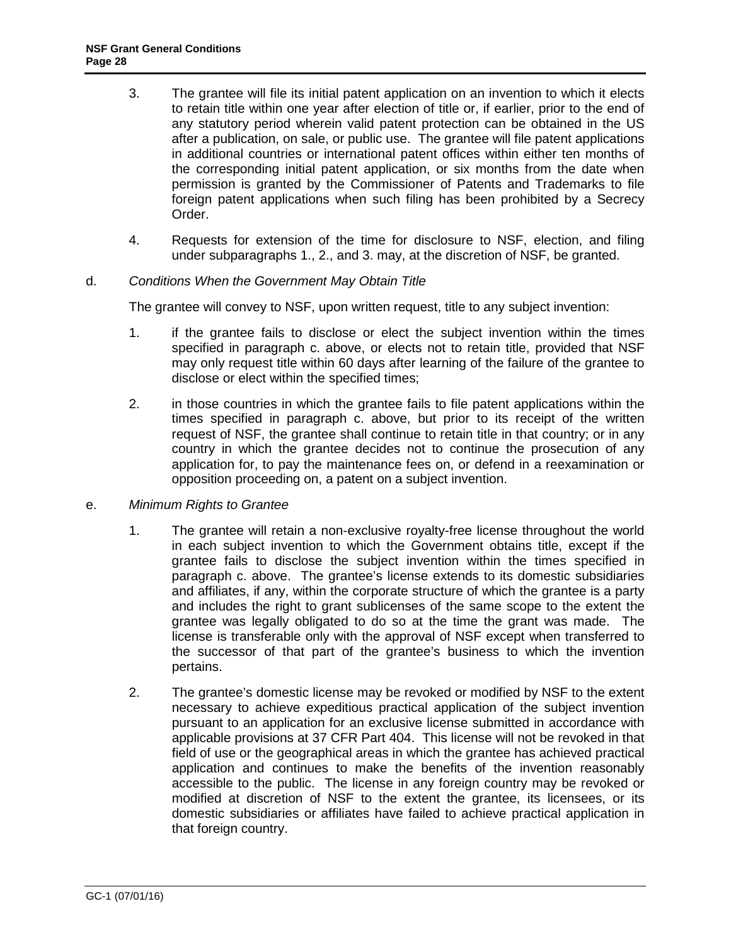- 3. The grantee will file its initial patent application on an invention to which it elects to retain title within one year after election of title or, if earlier, prior to the end of any statutory period wherein valid patent protection can be obtained in the US after a publication, on sale, or public use. The grantee will file patent applications in additional countries or international patent offices within either ten months of the corresponding initial patent application, or six months from the date when permission is granted by the Commissioner of Patents and Trademarks to file foreign patent applications when such filing has been prohibited by a Secrecy Order.
- 4. Requests for extension of the time for disclosure to NSF, election, and filing under subparagraphs 1., 2., and 3. may, at the discretion of NSF, be granted.

#### d. *Conditions When the Government May Obtain Title*

The grantee will convey to NSF, upon written request, title to any subject invention:

- 1. if the grantee fails to disclose or elect the subject invention within the times specified in paragraph c. above, or elects not to retain title, provided that NSF may only request title within 60 days after learning of the failure of the grantee to disclose or elect within the specified times;
- 2. in those countries in which the grantee fails to file patent applications within the times specified in paragraph c. above, but prior to its receipt of the written request of NSF, the grantee shall continue to retain title in that country; or in any country in which the grantee decides not to continue the prosecution of any application for, to pay the maintenance fees on, or defend in a reexamination or opposition proceeding on, a patent on a subject invention.
- e. *Minimum Rights to Grantee*
	- 1. The grantee will retain a non-exclusive royalty-free license throughout the world in each subject invention to which the Government obtains title, except if the grantee fails to disclose the subject invention within the times specified in paragraph c. above. The grantee's license extends to its domestic subsidiaries and affiliates, if any, within the corporate structure of which the grantee is a party and includes the right to grant sublicenses of the same scope to the extent the grantee was legally obligated to do so at the time the grant was made. The license is transferable only with the approval of NSF except when transferred to the successor of that part of the grantee's business to which the invention pertains.
	- 2. The grantee's domestic license may be revoked or modified by NSF to the extent necessary to achieve expeditious practical application of the subject invention pursuant to an application for an exclusive license submitted in accordance with applicable provisions at [37 CFR Part 404.](http://www.access.gpo.gov/nara/cfr/waisidx_06/37cfr404_06.html) This license will not be revoked in that field of use or the geographical areas in which the grantee has achieved practical application and continues to make the benefits of the invention reasonably accessible to the public. The license in any foreign country may be revoked or modified at discretion of NSF to the extent the grantee, its licensees, or its domestic subsidiaries or affiliates have failed to achieve practical application in that foreign country.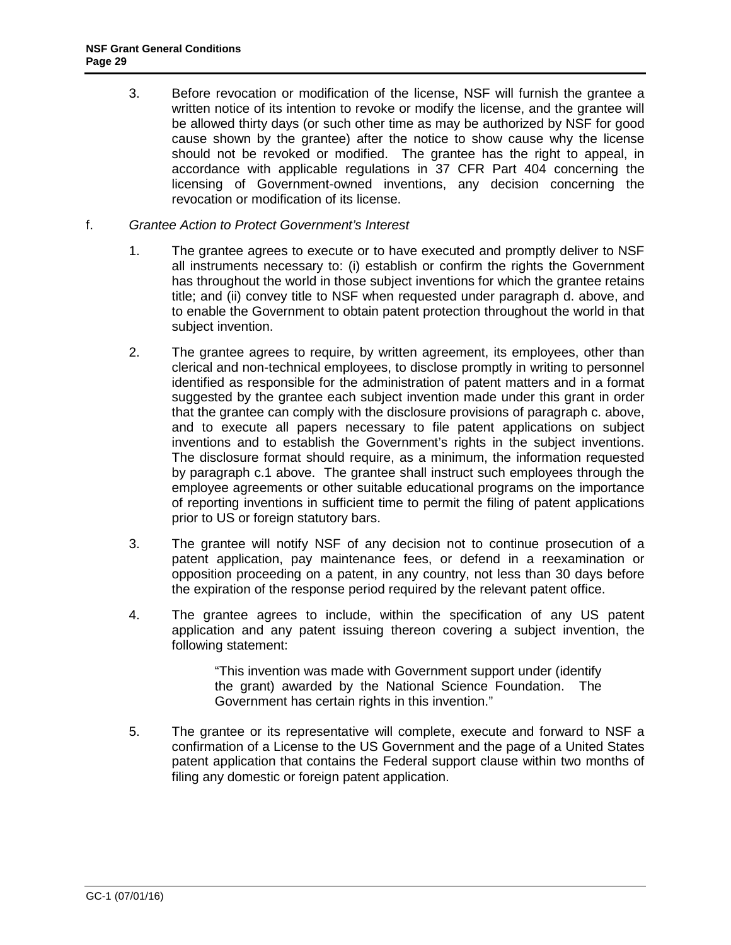- 3. Before revocation or modification of the license, NSF will furnish the grantee a written notice of its intention to revoke or modify the license, and the grantee will be allowed thirty days (or such other time as may be authorized by NSF for good cause shown by the grantee) after the notice to show cause why the license should not be revoked or modified. The grantee has the right to appeal, in accordance with applicable regulations in [37 CFR Part 404](http://www.access.gpo.gov/nara/cfr/waisidx_06/37cfr404_06.html) concerning the licensing of Government-owned inventions, any decision concerning the revocation or modification of its license.
- f. *Grantee Action to Protect Government's Interest*
	- 1. The grantee agrees to execute or to have executed and promptly deliver to NSF all instruments necessary to: (i) establish or confirm the rights the Government has throughout the world in those subject inventions for which the grantee retains title; and (ii) convey title to NSF when requested under paragraph d. above, and to enable the Government to obtain patent protection throughout the world in that subject invention.
	- 2. The grantee agrees to require, by written agreement, its employees, other than clerical and non-technical employees, to disclose promptly in writing to personnel identified as responsible for the administration of patent matters and in a format suggested by the grantee each subject invention made under this grant in order that the grantee can comply with the disclosure provisions of paragraph c. above, and to execute all papers necessary to file patent applications on subject inventions and to establish the Government's rights in the subject inventions. The disclosure format should require, as a minimum, the information requested by paragraph c.1 above. The grantee shall instruct such employees through the employee agreements or other suitable educational programs on the importance of reporting inventions in sufficient time to permit the filing of patent applications prior to US or foreign statutory bars.
	- 3. The grantee will notify NSF of any decision not to continue prosecution of a patent application, pay maintenance fees, or defend in a reexamination or opposition proceeding on a patent, in any country, not less than 30 days before the expiration of the response period required by the relevant patent office.
	- 4. The grantee agrees to include, within the specification of any US patent application and any patent issuing thereon covering a subject invention, the following statement:

"This invention was made with Government support under (identify the grant) awarded by the National Science Foundation. The Government has certain rights in this invention."

5. The grantee or its representative will complete, execute and forward to NSF a confirmation of a License to the US Government and the page of a United States patent application that contains the Federal support clause within two months of filing any domestic or foreign patent application.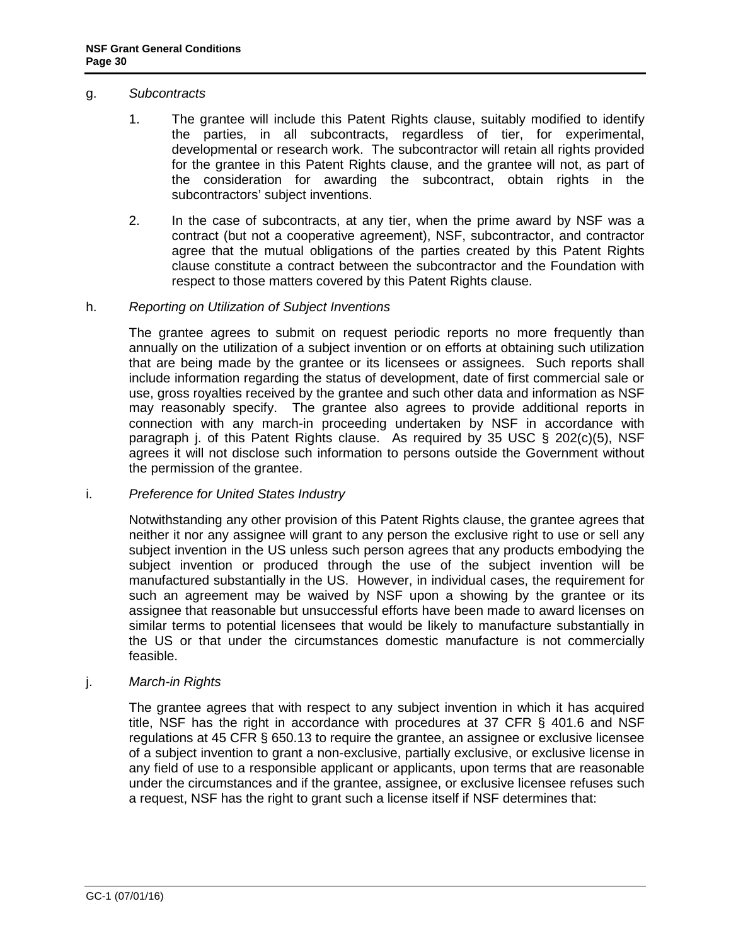#### g. *Subcontracts*

- 1. The grantee will include this Patent Rights clause, suitably modified to identify the parties, in all subcontracts, regardless of tier, for experimental, developmental or research work. The subcontractor will retain all rights provided for the grantee in this Patent Rights clause, and the grantee will not, as part of the consideration for awarding the subcontract, obtain rights in the subcontractors' subject inventions.
- 2. In the case of subcontracts, at any tier, when the prime award by NSF was a contract (but not a cooperative agreement), NSF, subcontractor, and contractor agree that the mutual obligations of the parties created by this Patent Rights clause constitute a contract between the subcontractor and the Foundation with respect to those matters covered by this Patent Rights clause.

#### h. *Reporting on Utilization of Subject Inventions*

The grantee agrees to submit on request periodic reports no more frequently than annually on the utilization of a subject invention or on efforts at obtaining such utilization that are being made by the grantee or its licensees or assignees. Such reports shall include information regarding the status of development, date of first commercial sale or use, gross royalties received by the grantee and such other data and information as NSF may reasonably specify. The grantee also agrees to provide additional reports in connection with any march-in proceeding undertaken by NSF in accordance with paragraph j. of this Patent Rights clause. As required by 35 USC  $\S$  202(c)(5), NSF agrees it will not disclose such information to persons outside the Government without the permission of the grantee.

#### i. *Preference for United States Industry*

Notwithstanding any other provision of this Patent Rights clause, the grantee agrees that neither it nor any assignee will grant to any person the exclusive right to use or sell any subject invention in the US unless such person agrees that any products embodying the subject invention or produced through the use of the subject invention will be manufactured substantially in the US. However, in individual cases, the requirement for such an agreement may be waived by NSF upon a showing by the grantee or its assignee that reasonable but unsuccessful efforts have been made to award licenses on similar terms to potential licensees that would be likely to manufacture substantially in the US or that under the circumstances domestic manufacture is not commercially feasible.

#### j. *March-in Rights*

The grantee agrees that with respect to any subject invention in which it has acquired title, NSF has the right in accordance with procedures at [37 CFR § 401.6](http://a257.g.akamaitech.net/7/257/2422/13nov20061500/edocket.access.gpo.gov/cfr_2006/julqtr/pdf/37cfr401.6.pdf) and NSF regulations at 45 CFR [§ 650.13](http://a257.g.akamaitech.net/7/257/2422/13nov20061500/edocket.access.gpo.gov/cfr_2006/octqtr/pdf/45cfr650.13.pdf) to require the grantee, an assignee or exclusive licensee of a subject invention to grant a non-exclusive, partially exclusive, or exclusive license in any field of use to a responsible applicant or applicants, upon terms that are reasonable under the circumstances and if the grantee, assignee, or exclusive licensee refuses such a request, NSF has the right to grant such a license itself if NSF determines that: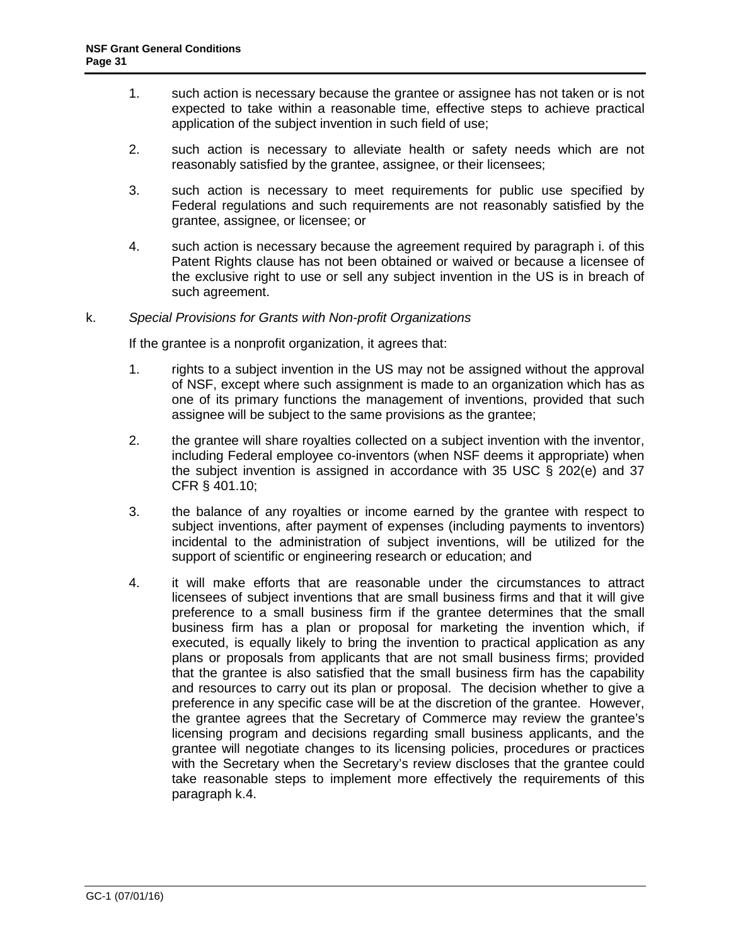- 1. such action is necessary because the grantee or assignee has not taken or is not expected to take within a reasonable time, effective steps to achieve practical application of the subject invention in such field of use;
- 2. such action is necessary to alleviate health or safety needs which are not reasonably satisfied by the grantee, assignee, or their licensees;
- 3. such action is necessary to meet requirements for public use specified by Federal regulations and such requirements are not reasonably satisfied by the grantee, assignee, or licensee; or
- 4. such action is necessary because the agreement required by paragraph i. of this Patent Rights clause has not been obtained or waived or because a licensee of the exclusive right to use or sell any subject invention in the US is in breach of such agreement.

# k. *Special Provisions for Grants with Non-profit Organizations*

If the grantee is a nonprofit organization, it agrees that:

- 1. rights to a subject invention in the US may not be assigned without the approval of NSF, except where such assignment is made to an organization which has as one of its primary functions the management of inventions, provided that such assignee will be subject to the same provisions as the grantee;
- 2. the grantee will share royalties collected on a subject invention with the inventor, including Federal employee co-inventors (when NSF deems it appropriate) when the subject invention is assigned in accordance with [35 USC § 202\(e\)](http://frwebgate.access.gpo.gov/cgi-bin/getdoc.cgi?dbname=browse_usc&docid=Cite:+35USC202) and [37](http://a257.g.akamaitech.net/7/257/2422/13nov20061500/edocket.access.gpo.gov/cfr_2006/julqtr/pdf/37cfr401.10.pdf)  [CFR § 401.10;](http://a257.g.akamaitech.net/7/257/2422/13nov20061500/edocket.access.gpo.gov/cfr_2006/julqtr/pdf/37cfr401.10.pdf)
- 3. the balance of any royalties or income earned by the grantee with respect to subject inventions, after payment of expenses (including payments to inventors) incidental to the administration of subject inventions, will be utilized for the support of scientific or engineering research or education; and
- 4. it will make efforts that are reasonable under the circumstances to attract licensees of subject inventions that are small business firms and that it will give preference to a small business firm if the grantee determines that the small business firm has a plan or proposal for marketing the invention which, if executed, is equally likely to bring the invention to practical application as any plans or proposals from applicants that are not small business firms; provided that the grantee is also satisfied that the small business firm has the capability and resources to carry out its plan or proposal. The decision whether to give a preference in any specific case will be at the discretion of the grantee. However, the grantee agrees that the Secretary of Commerce may review the grantee's licensing program and decisions regarding small business applicants, and the grantee will negotiate changes to its licensing policies, procedures or practices with the Secretary when the Secretary's review discloses that the grantee could take reasonable steps to implement more effectively the requirements of this paragraph k.4.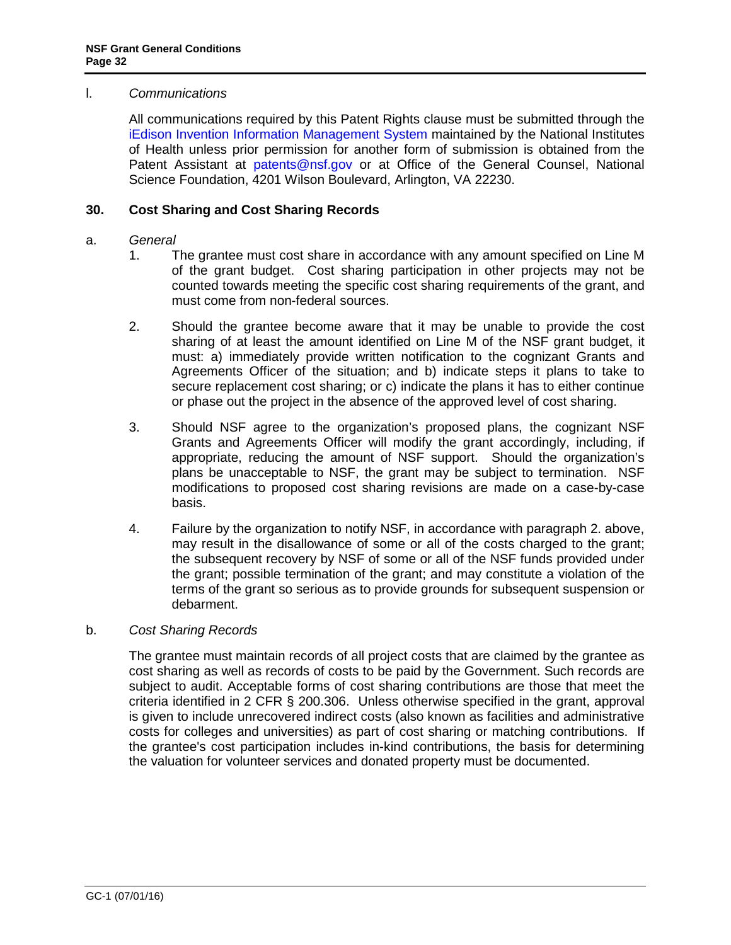#### <span id="page-31-0"></span>l. *Communications*

All communications required by this Patent Rights clause must be submitted through the [iEdison Invention Information Management System](https://public.era.nih.gov/iedison/public/login.do?TYPE=33554433&REALMOID=06-dc4d00e8-1464-45e1-937f-0525407c30fd&GUID=&SMAUTHREASON=0&METHOD=GET&SMAGENTNAME=-SM-938PYmoLVb4VrDeXo04LZUDVDvc%2b3899ByInEAjuSUvWNIGfB2zRpWiCivYGCogG&TARGET=-SM-http%3a%2f%2fpublic%2eera%2enih%2egov%2fiEdison) maintained by the National Institutes of Health unless prior permission for another form of submission is obtained from the Patent Assistant at [patents@nsf.gov](mailto:patents@nsf.gov) or at Office of the General Counsel, National Science Foundation, 4201 Wilson Boulevard, Arlington, VA 22230.

# **30. Cost Sharing and Cost Sharing Records**

#### a. *General*

- 1. The grantee must cost share in accordance with any amount specified on Line M of the grant budget. Cost sharing participation in other projects may not be counted towards meeting the specific cost sharing requirements of the grant, and must come from non-federal sources.
- 2. Should the grantee become aware that it may be unable to provide the cost sharing of at least the amount identified on Line M of the NSF grant budget, it must: a) immediately provide written notification to the cognizant Grants and Agreements Officer of the situation; and b) indicate steps it plans to take to secure replacement cost sharing; or c) indicate the plans it has to either continue or phase out the project in the absence of the approved level of cost sharing.
- 3. Should NSF agree to the organization's proposed plans, the cognizant NSF Grants and Agreements Officer will modify the grant accordingly, including, if appropriate, reducing the amount of NSF support. Should the organization's plans be unacceptable to NSF, the grant may be subject to termination. NSF modifications to proposed cost sharing revisions are made on a case-by-case basis.
- 4. Failure by the organization to notify NSF, in accordance with paragraph 2. above, may result in the disallowance of some or all of the costs charged to the grant; the subsequent recovery by NSF of some or all of the NSF funds provided under the grant; possible termination of the grant; and may constitute a violation of the terms of the grant so serious as to provide grounds for subsequent suspension or debarment.

#### b. *Cost Sharing Records*

The grantee must maintain records of all project costs that are claimed by the grantee as cost sharing as well as records of costs to be paid by the Government. Such records are subject to audit. Acceptable forms of cost sharing contributions are those that meet the criteria identified in [2 CFR § 200.3](http://a257.g.akamaitech.net/7/257/2422/15mar20071500/edocket.access.gpo.gov/cfr_2007/janqtr/pdf/2cfr215.23.pdf)06. Unless otherwise specified in the grant, approval is given to include unrecovered indirect costs (also known as facilities and administrative costs for colleges and universities) as part of cost sharing or matching contributions. If the grantee's cost participation includes in-kind contributions, the basis for determining the valuation for volunteer services and donated property must be documented.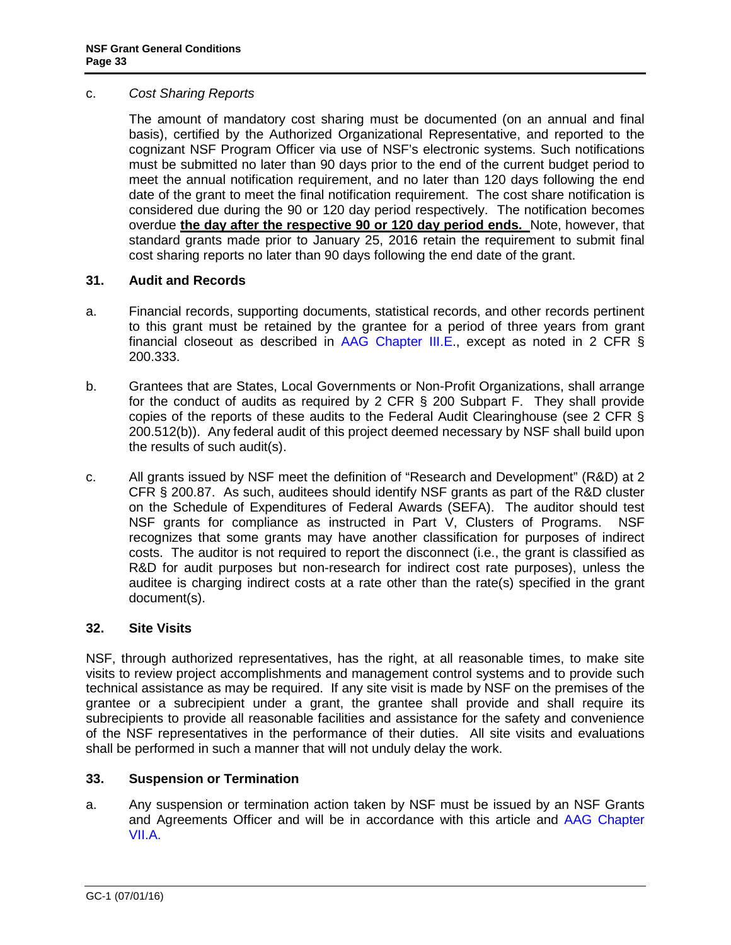#### <span id="page-32-0"></span>c. *Cost Sharing Reports*

The amount of mandatory cost sharing must be documented (on an annual and final basis), certified by the Authorized Organizational Representative, and reported to the cognizant NSF Program Officer via use of NSF's electronic systems. Such notifications must be submitted no later than 90 days prior to the end of the current budget period to meet the annual notification requirement, and no later than 120 days following the end date of the grant to meet the final notification requirement. The cost share notification is considered due during the 90 or 120 day period respectively. The notification becomes overdue **the day after the respective 90 or 120 day period ends.** Note, however, that standard grants made prior to January 25, 2016 retain the requirement to submit final cost sharing reports no later than 90 days following the end date of the grant.

# **31. Audit and Records**

- a. Financial records, supporting documents, statistical records, and other records pertinent to this grant must be retained by the grantee for a period of three years from grant financial closeout as described in [AAG Chapter III.E.](http://www.nsf.gov/pubs/policydocs/pappguide/nsf16001/aag_3.jsp#IIIE), except as noted in 2 CFR  $\S$ 200.333.
- b. Grantees that are States, Local Governments or Non-Profit Organizations, shall arrange for the conduct of audits as required by 2 CFR § 200 Subpart F. They shall provide copies of the reports of these audits to the Federal Audit Clearinghouse (see 2 CFR § 200.512(b)). Any federal audit of this project deemed necessary by NSF shall build upon the results of such audit(s).
- c. All grants issued by NSF meet the definition of "Research and Development" (R&D) at 2 CFR § 200.87. As such, auditees should identify NSF grants as part of the R&D cluster on the Schedule of Expenditures of Federal Awards (SEFA). The auditor should test NSF grants for compliance as instructed in Part V, Clusters of Programs. NSF recognizes that some grants may have another classification for purposes of indirect costs. The auditor is not required to report the disconnect (i.e., the grant is classified as R&D for audit purposes but non-research for indirect cost rate purposes), unless the auditee is charging indirect costs at a rate other than the rate(s) specified in the grant document(s).

#### **32. Site Visits**

NSF, through authorized representatives, has the right, at all reasonable times, to make site visits to review project accomplishments and management control systems and to provide such technical assistance as may be required. If any site visit is made by NSF on the premises of the grantee or a subrecipient under a grant, the grantee shall provide and shall require its subrecipients to provide all reasonable facilities and assistance for the safety and convenience of the NSF representatives in the performance of their duties. All site visits and evaluations shall be performed in such a manner that will not unduly delay the work.

#### **33. Suspension or Termination**

a. Any suspension or termination action taken by NSF must be issued by an NSF Grants and Agreements Officer and will be in accordance with this article and [AAG Chapter](http://www.nsf.gov/pubs/policydocs/pappguide/nsf16001/aag_7.jsp#VIIA)  [VII.A.](http://www.nsf.gov/pubs/policydocs/pappguide/nsf16001/aag_7.jsp#VIIA)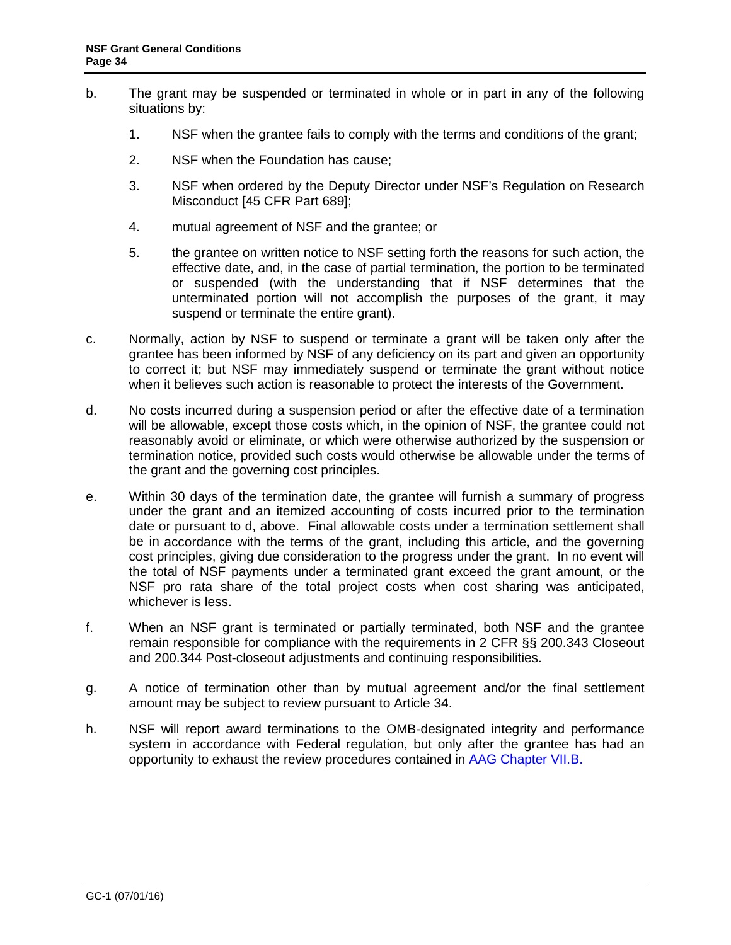- b. The grant may be suspended or terminated in whole or in part in any of the following situations by:
	- 1. NSF when the grantee fails to comply with the terms and conditions of the grant;
	- 2. NSF when the Foundation has cause;
	- 3. NSF when ordered by the Deputy Director under NSF's Regulation on Research Misconduct [\[45 CFR Part 689\]](http://www.access.gpo.gov/nara/cfr/waisidx_06/45cfr689_06.html);
	- 4. mutual agreement of NSF and the grantee; or
	- 5. the grantee on written notice to NSF setting forth the reasons for such action, the effective date, and, in the case of partial termination, the portion to be terminated or suspended (with the understanding that if NSF determines that the unterminated portion will not accomplish the purposes of the grant, it may suspend or terminate the entire grant).
- c. Normally, action by NSF to suspend or terminate a grant will be taken only after the grantee has been informed by NSF of any deficiency on its part and given an opportunity to correct it; but NSF may immediately suspend or terminate the grant without notice when it believes such action is reasonable to protect the interests of the Government.
- d. No costs incurred during a suspension period or after the effective date of a termination will be allowable, except those costs which, in the opinion of NSF, the grantee could not reasonably avoid or eliminate, or which were otherwise authorized by the suspension or termination notice, provided such costs would otherwise be allowable under the terms of the grant and the governing cost principles.
- e. Within 30 days of the termination date, the grantee will furnish a summary of progress under the grant and an itemized accounting of costs incurred prior to the termination date or pursuant to d, above. Final allowable costs under a termination settlement shall be in accordance with the terms of the grant, including this article, and the governing cost principles, giving due consideration to the progress under the grant. In no event will the total of NSF payments under a terminated grant exceed the grant amount, or the NSF pro rata share of the total project costs when cost sharing was anticipated, whichever is less.
- f. When an NSF grant is terminated or partially terminated, both NSF and the grantee remain responsible for compliance with the requirements in 2 CFR §§ 200.343 Closeout and 200.344 Post-closeout adjustments and continuing responsibilities.
- g. A notice of termination other than by mutual agreement and/or the final settlement amount may be subject to review pursuant to Article 34.
- h. NSF will report award terminations to the OMB-designated integrity and performance system in accordance with Federal regulation, but only after the grantee has had an opportunity to exhaust the review procedures contained in [AAG Chapter VII.B.](http://www.nsf.gov/pubs/policydocs/pappguide/nsf16001/aag_7.jsp#VIIB)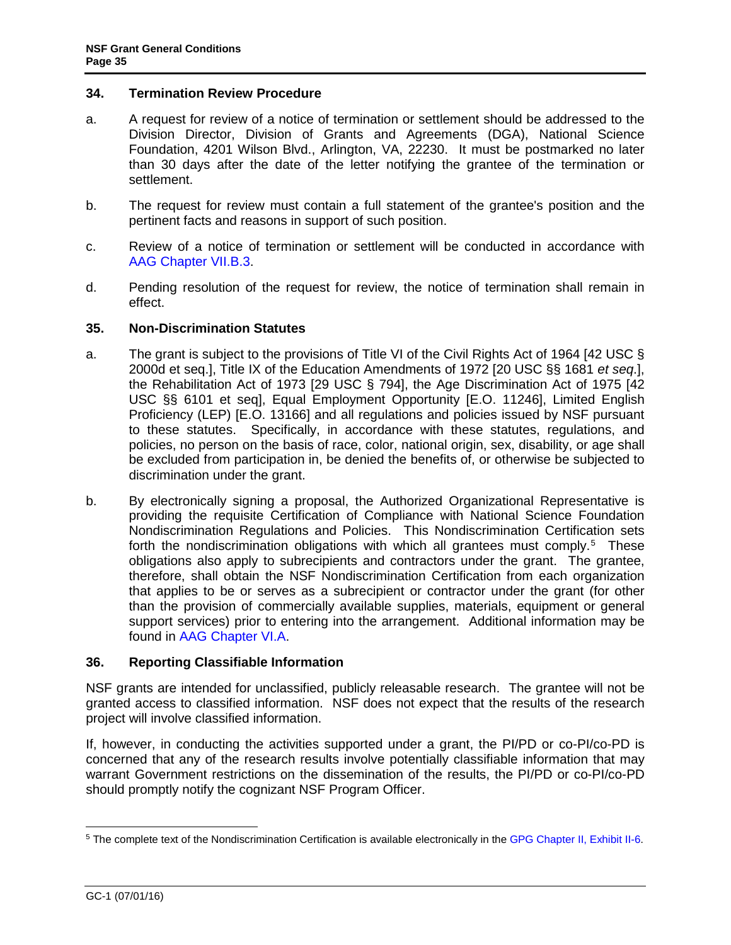#### <span id="page-34-0"></span>**34. Termination Review Procedure**

- a. A request for review of a notice of termination or settlement should be addressed to the Division Director, Division of Grants and Agreements (DGA), National Science Foundation, 4201 Wilson Blvd., Arlington, VA, 22230. It must be postmarked no later than 30 days after the date of the letter notifying the grantee of the termination or settlement.
- b. The request for review must contain a full statement of the grantee's position and the pertinent facts and reasons in support of such position.
- c. Review of a notice of termination or settlement will be conducted in accordance with [AAG Chapter VII.B.3.](http://www.nsf.gov/pubs/policydocs/pappguide/nsf16001/aag_7.jsp#VIIB3)
- d. Pending resolution of the request for review, the notice of termination shall remain in effect.

#### **35. Non-Discrimination Statutes**

- a. The grant is subject to the provisions of Title VI of the Civil Rights Act of 1964 [\[42 USC §](http://frwebgate.access.gpo.gov/cgi-bin/getdoc.cgi?dbname=browse_usc&docid=Cite:+42USC2000d)  [2000d](http://frwebgate.access.gpo.gov/cgi-bin/getdoc.cgi?dbname=browse_usc&docid=Cite:+42USC2000d) et seq.], Title IX of the Education Amendments of 1972 [20 USC §§ 1681 *et seq*.], the Rehabilitation Act of 1973 [\[29 USC § 794\]](http://frwebgate.access.gpo.gov/cgi-bin/getdoc.cgi?dbname=browse_usc&docid=Cite:+29USC794), the Age Discrimination Act of 1975 [\[42](http://www.access.gpo.gov/uscode/title42/chapter76_.html)  [USC §§ 6101 et seq\]](http://www.access.gpo.gov/uscode/title42/chapter76_.html), Equal Employment Opportunity [E.O. 11246], Limited English Proficiency (LEP) [E.O. 13166] and all regulations and policies issued by NSF pursuant to these statutes. Specifically, in accordance with these statutes, regulations, and policies, no person on the basis of race, color, national origin, sex, disability, or age shall be excluded from participation in, be denied the benefits of, or otherwise be subjected to discrimination under the grant.
- b. By electronically signing a proposal, the Authorized Organizational Representative is providing the requisite Certification of Compliance with National Science Foundation Nondiscrimination Regulations and Policies. This Nondiscrimination Certification sets forth the nondiscrimination obligations with which all grantees must comply.<sup>[5](#page-34-1)</sup> These obligations also apply to subrecipients and contractors under the grant. The grantee, therefore, shall obtain the NSF Nondiscrimination Certification from each organization that applies to be or serves as a subrecipient or contractor under the grant (for other than the provision of commercially available supplies, materials, equipment or general support services) prior to entering into the arrangement. Additional information may be found in [AAG Chapter VI.A.](http://www.nsf.gov/pubs/policydocs/pappguide/nsf16001/aag_6.jsp#VIA)

#### **36. Reporting Classifiable Information**

NSF grants are intended for unclassified, publicly releasable research. The grantee will not be granted access to classified information. NSF does not expect that the results of the research project will involve classified information.

If, however, in conducting the activities supported under a grant, the PI/PD or co-PI/co-PD is concerned that any of the research results involve potentially classifiable information that may warrant Government restrictions on the dissemination of the results, the PI/PD or co-PI/co-PD should promptly notify the cognizant NSF Program Officer.

<span id="page-34-1"></span> <sup>5</sup> The complete text of the Nondiscrimination Certification is available electronically in the [GPG Chapter II, Exhibit II-6.](http://www.nsf.gov/pubs/policydocs/pappguide/nsf16001/gpg_2.jsp#IIex6)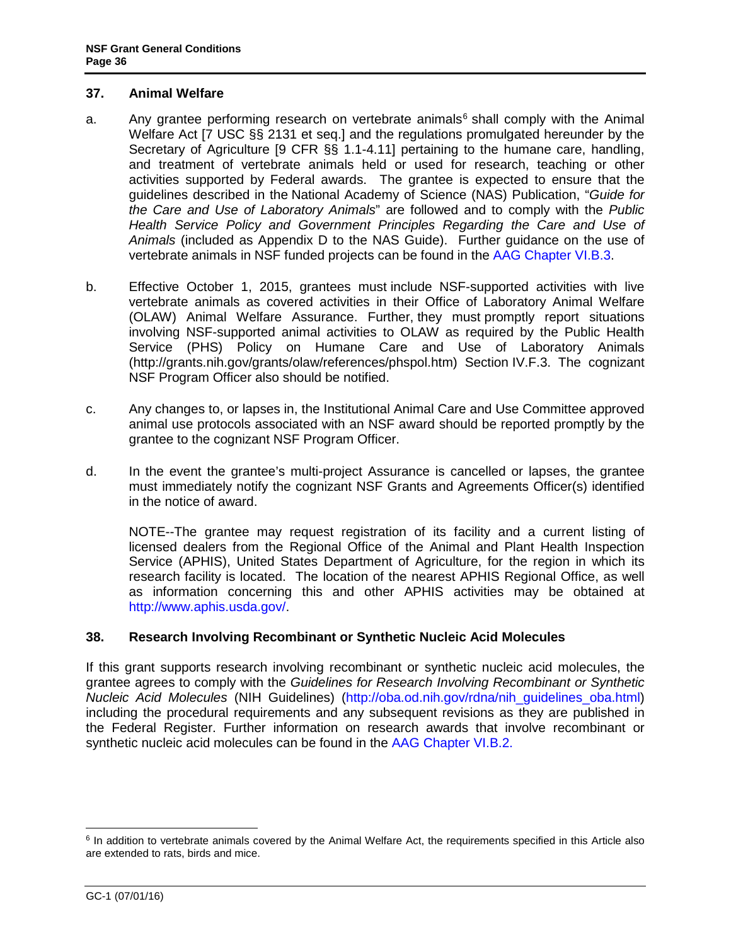#### <span id="page-35-0"></span>**37. Animal Welfare**

- a. Any grantee performing research on vertebrate animals<sup>[6](#page-35-1)</sup> shall comply with the Animal Welfare Act [\[7 USC §§ 2131 et seq.](http://www.access.gpo.gov/uscode/title7/chapter54_.html)] and the regulations promulgated hereunder by the Secretary of Agriculture [\[9 CFR §§ 1.1-4.11\]](http://www.access.gpo.gov/nara/cfr/waisidx_07/9cfrv1_07.html) pertaining to the humane care, handling, and treatment of vertebrate animals held or used for research, teaching or other activities supported by Federal awards. The grantee is expected to ensure that the guidelines described in the National Academy of Science (NAS) Publication, "*[Guide for](http://www.nap.edu/readingroom/books/labrats/)  [the Care and Use of Laboratory Animals](http://www.nap.edu/readingroom/books/labrats/)*" are followed and to comply with the *Public Health Service Policy and Government Principles Regarding the Care and Use of Animals* (included as Appendix D to the NAS Guide). Further guidance on the use of vertebrate animals in NSF funded projects can be found in the [AAG Chapter VI.B.3.](http://www.nsf.gov/pubs/policydocs/pappguide/nsf16001/aag_6.jsp#VIB3)
- b. Effective October 1, 2015, grantees must include NSF-supported activities with live vertebrate animals as covered activities in their Office of Laboratory Animal Welfare (OLAW) Animal Welfare Assurance. Further, they must promptly report situations involving NSF-supported animal activities to OLAW as required by the Public Health Service (PHS) Policy on Humane Care and Use of Laboratory Animals [\(http://grants.nih.gov/grants/olaw/references/phspol.htm\)](http://grants.nih.gov/grants/olaw/references/phspol.htm) Section IV.F.3. The cognizant NSF Program Officer also should be notified.
- c. Any changes to, or lapses in, the Institutional Animal Care and Use Committee approved animal use protocols associated with an NSF award should be reported promptly by the grantee to the cognizant NSF Program Officer.
- d. In the event the grantee's multi-project Assurance is cancelled or lapses, the grantee must immediately notify the cognizant NSF Grants and Agreements Officer(s) identified in the notice of award.

NOTE--The grantee may request registration of its facility and a current listing of licensed dealers from the Regional Office of the Animal and Plant Health Inspection Service (APHIS), United States Department of Agriculture, for the region in which its research facility is located. The location of the nearest APHIS Regional Office, as well as information concerning this and other APHIS activities may be obtained at [http://www.aphis.usda.gov/.](http://www.aphis.usda.gov/)

#### **38. Research Involving Recombinant or Synthetic Nucleic Acid Molecules**

If this grant supports research involving recombinant or synthetic nucleic acid molecules, the grantee agrees to comply with the *Guidelines for Research Involving Recombinant or Synthetic Nucleic Acid Molecules* (NIH Guidelines) [\(http://oba.od.nih.gov/rdna/nih\\_guidelines\\_oba.html\)](http://oba.od.nih.gov/rdna/nih_guidelines_oba.html) including the procedural requirements and any subsequent revisions as they are published in the Federal Register. Further information on research awards that involve recombinant or synthetic nucleic acid molecules can be found in the [AAG Chapter VI.B.2.](http://www.nsf.gov/pubs/policydocs/pappguide/nsf16001/aag_6.jsp#VIB2)

<span id="page-35-1"></span> $6$  In addition to vertebrate animals covered by the Animal Welfare Act, the requirements specified in this Article also are extended to rats, birds and mice.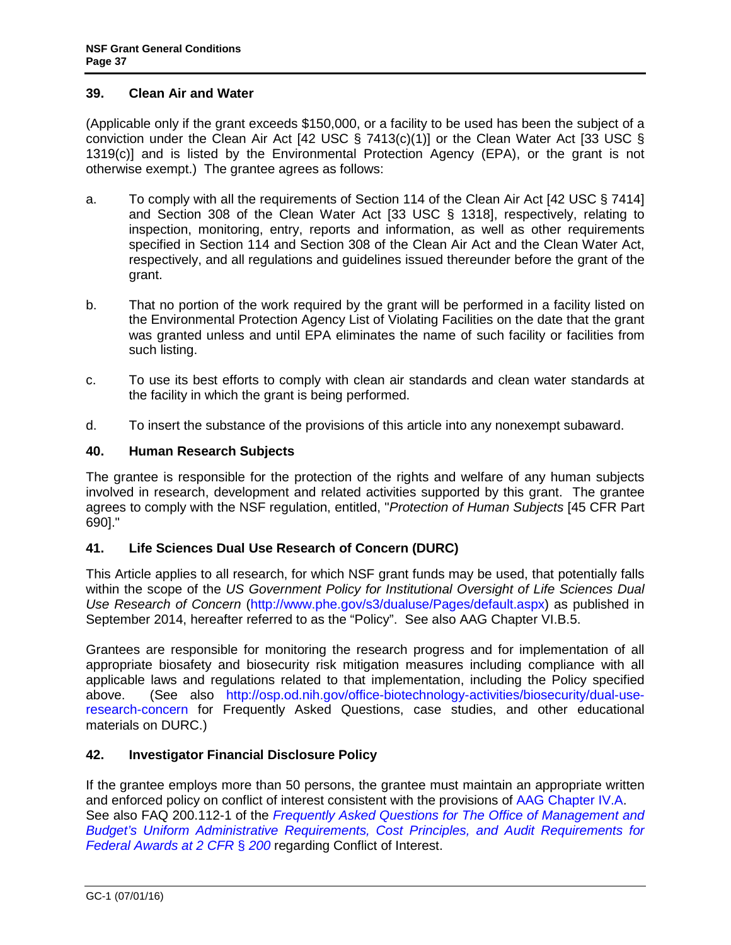#### <span id="page-36-0"></span>**39. Clean Air and Water**

(Applicable only if the grant exceeds \$150,000, or a facility to be used has been the subject of a conviction under the Clean Air Act [\[42 USC § 7413\(c\)\(1\)\]](http://frwebgate.access.gpo.gov/cgi-bin/getdoc.cgi?dbname=browse_usc&docid=Cite:+42USC7413) or the Clean Water Act [\[33 USC §](http://frwebgate.access.gpo.gov/cgi-bin/getdoc.cgi?dbname=browse_usc&docid=Cite:+33USC1319)  [1319\(c\)](http://frwebgate.access.gpo.gov/cgi-bin/getdoc.cgi?dbname=browse_usc&docid=Cite:+33USC1319)] and is listed by the Environmental Protection Agency (EPA), or the grant is not otherwise exempt.) The grantee agrees as follows:

- a. To comply with all the requirements of Section 114 of the Clean Air Act [\[42 USC § 7414\]](http://frwebgate.access.gpo.gov/cgi-bin/getdoc.cgi?dbname=browse_usc&docid=Cite:+42USC7414) and Section 308 of the Clean Water Act [\[33 USC § 1318\]](http://frwebgate.access.gpo.gov/cgi-bin/getdoc.cgi?dbname=browse_usc&docid=Cite:+33USC1318), respectively, relating to inspection, monitoring, entry, reports and information, as well as other requirements specified in Section 114 and Section 308 of the Clean Air Act and the Clean Water Act, respectively, and all regulations and guidelines issued thereunder before the grant of the grant.
- b. That no portion of the work required by the grant will be performed in a facility listed on the Environmental Protection Agency List of Violating Facilities on the date that the grant was granted unless and until EPA eliminates the name of such facility or facilities from such listing.
- c. To use its best efforts to comply with clean air standards and clean water standards at the facility in which the grant is being performed.
- d. To insert the substance of the provisions of this article into any nonexempt subaward.

# **40. Human Research Subjects**

The grantee is responsible for the protection of the rights and welfare of any human subjects involved in research, development and related activities supported by this grant. The grantee agrees to comply with the NSF regulation, entitled, "*Protection of Human Subjects* [\[45 CFR Part](http://www.access.gpo.gov/nara/cfr/waisidx_06/45cfr690_06.html)  [690\].](http://www.access.gpo.gov/nara/cfr/waisidx_06/45cfr690_06.html)"

# **41. Life Sciences Dual Use Research of Concern (DURC)**

This Article applies to all research, for which NSF grant funds may be used, that potentially falls within the scope of the *US Government Policy for Institutional Oversight of Life Sciences Dual Use Research of Concern* [\(http://www.phe.gov/s3/dualuse/Pages/default.aspx\)](http://www.phe.gov/s3/dualuse/Pages/default.aspx) as published in September 2014, hereafter referred to as the "Policy". See also AAG Chapter VI.B.5.

Grantees are responsible for monitoring the research progress and for implementation of all appropriate biosafety and biosecurity risk mitigation measures including compliance with all applicable laws and regulations related to that implementation, including the Policy specified above. (See also [http://osp.od.nih.gov/office-biotechnology-activities/biosecurity/dual-use](http://osp.od.nih.gov/office-biotechnology-activities/biosecurity/dual-use-research-concern)[research-concern](http://osp.od.nih.gov/office-biotechnology-activities/biosecurity/dual-use-research-concern) for Frequently Asked Questions, case studies, and other educational materials on DURC.)

# **42. Investigator Financial Disclosure Policy**

If the grantee employs more than 50 persons, the grantee must maintain an appropriate written and enforced policy on conflict of interest consistent with the provisions of [AAG Chapter IV.A.](http://www.nsf.gov/pubs/policydocs/pappguide/nsf16001/aag_4.jsp#IVA) See also FAQ 200.112-1 of the *[Frequently Asked Questions for The Office of Management and](https://cfo.gov/wp-content/uploads/2015/09/9.9.15-Frequently-Asked-Questions.pdf)  [Budget's Uniform Administrative Requirements, Cost Principles, and](https://cfo.gov/wp-content/uploads/2015/09/9.9.15-Frequently-Asked-Questions.pdf) Audit Requirements for [Federal Awards at 2 CFR](https://cfo.gov/wp-content/uploads/2015/09/9.9.15-Frequently-Asked-Questions.pdf)* § *200* regarding Conflict of Interest.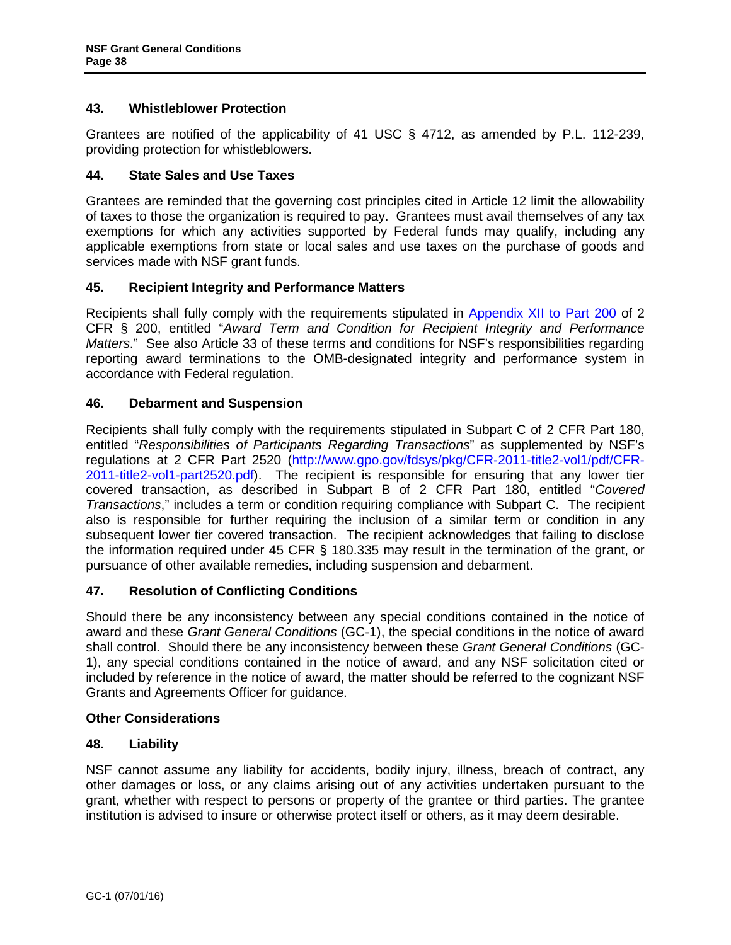# <span id="page-37-0"></span>**43. Whistleblower Protection**

Grantees are notified of the applicability of 41 USC § 4712, as amended by P.L. 112-239, providing protection for whistleblowers.

# **44. State Sales and Use Taxes**

Grantees are reminded that the governing cost principles cited in [Article 12](#page-12-3) limit the allowability of taxes to those the organization is required to pay. Grantees must avail themselves of any tax exemptions for which any activities supported by Federal funds may qualify, including any applicable exemptions from state or local sales and use taxes on the purchase of goods and services made with NSF grant funds.

# **45. Recipient Integrity and Performance Matters**

Recipients shall fully comply with the requirements stipulated in [Appendix XII to Part 200](http://www.ecfr.gov/cgi-bin/text-idx?SID=704835d27377ef5213a51c149de40cab&node=2:1.1.2.2.1&rgn=div5) of 2 CFR § 200, entitled "*Award Term and Condition for Recipient Integrity and Performance Matters*." See also Article 33 of these terms and conditions for NSF's responsibilities regarding reporting award terminations to the OMB-designated integrity and performance system in accordance with Federal regulation.

# **46. Debarment and Suspension**

Recipients shall fully comply with the requirements stipulated in [Subpart C of 2 CFR Part 180,](http://www.whitehouse.gov/omb/fedreg/2005/083105_debarment.pdf) entitled "*Responsibilities of Participants Regarding Transactions*" as supplemented by NSF's regulations at 2 CFR Part 2520 [\(http://www.gpo.gov/fdsys/pkg/CFR-2011-title2-vol1/pdf/CFR-](http://www.gpo.gov/fdsys/pkg/CFR-2011-title2-vol1/pdf/CFR-2011-title2-vol1-part2520.pdf)[2011-title2-vol1-part2520.pdf\)](http://www.gpo.gov/fdsys/pkg/CFR-2011-title2-vol1/pdf/CFR-2011-title2-vol1-part2520.pdf). The recipient is responsible for ensuring that any lower tier covered transaction, as described in [Subpart B of 2 CFR Part 180,](http://www.whitehouse.gov/omb/fedreg/2005/083105_debarment.pdf) entitled "*Covered Transactions*," includes a term or condition requiring compliance with Subpart C. The recipient also is responsible for further requiring the inclusion of a similar term or condition in any subsequent lower tier covered transaction. The recipient acknowledges that failing to disclose the information required under [45 CFR § 180.335](http://www.nsf.gov/oig/2_CFR_PART180.pdf) may result in the termination of the grant, or pursuance of other available remedies, including suspension and debarment.

# **47. Resolution of Conflicting Conditions**

Should there be any inconsistency between any special conditions contained in the notice of award and these *Grant General Conditions* (GC-1), the special conditions in the notice of award shall control. Should there be any inconsistency between these *Grant General Conditions* (GC-1), any special conditions contained in the notice of award, and any NSF solicitation cited or included by reference in the notice of award, the matter should be referred to the cognizant NSF Grants and Agreements Officer for guidance.

#### **Other Considerations**

# **48. Liability**

NSF cannot assume any liability for accidents, bodily injury, illness, breach of contract, any other damages or loss, or any claims arising out of any activities undertaken pursuant to the grant, whether with respect to persons or property of the grantee or third parties. The grantee institution is advised to insure or otherwise protect itself or others, as it may deem desirable.